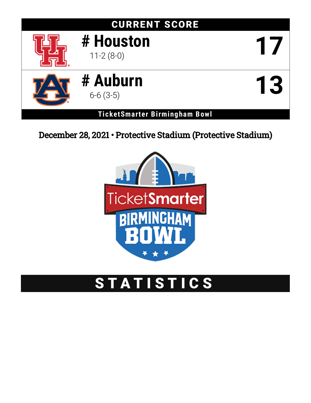# CURRENT SCORE **# Houston** 11-2 (8-0) **17 # Auburn** 6-6 (3-5) **13**

**TicketSmarter Birmingham Bowl**

December 28, 2021 • Protective Stadium (Protective Stadium)



## STATISTICS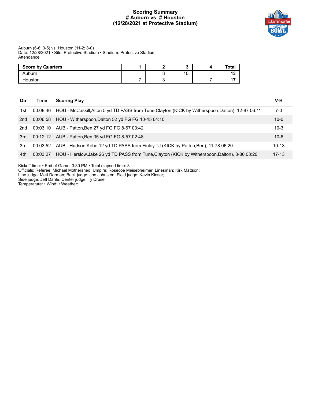#### **Scoring Summary # Auburn vs. # Houston (12/28/2021 at Protective Stadium)**



#### Auburn (6-6; 3-5) vs. Houston (11-2; 8-0) Date: 12/28/2021 • Site: Protective Stadium • Stadium: Protective Stadium Attendance:

| <b>Score by Quarters</b> |  |           | Tota. |
|--------------------------|--|-----------|-------|
| Auburn                   |  | 10<br>. U |       |
| Houston                  |  |           |       |

| Qtr | Time     | <b>Scoring Play</b>                                                                               | V-H       |
|-----|----------|---------------------------------------------------------------------------------------------------|-----------|
| 1st | 00:08:46 | HOU - McCaskill, Alton 5 yd TD PASS from Tune, Clayton (KICK by Witherspoon, Dalton), 12-87 06:11 | 7-0       |
| 2nd | 00:06:58 | HOU - Witherspoon, Dalton 52 yd FG FG 10-45 04:10                                                 | $10 - 0$  |
| 2nd | 00:03:10 | AUB - Patton, Ben 27 yd FG FG 8-67 03:42                                                          | $10-3$    |
| 3rd |          | 00:12:12 AUB - Patton, Ben 35 yd FG FG 8-57 02:48                                                 | $10 - 6$  |
| 3rd |          | 00:03:52 AUB - Hudson, Kobe 12 yd TD PASS from Finley, TJ (KICK by Patton, Ben), 11-78 06:20      | $10 - 13$ |
| 4th | 00:03:27 | HOU - Herslow, Jake 26 yd TD PASS from Tune, Clayton (KICK by Witherspoon, Dalton), 8-80 03:20    | $17 - 13$ |

Kickoff time: • End of Game: 3:30 PM • Total elapsed time: 3

Officials: Referee: Michael Mothershed; Umpire: Rosecoe Meisebheimer; Linesman: Kirk Mattson;

Line judge: Matt Dorman; Back judge: Joe Johnston; Field judge: Kevin Kieser;

Side judge: Jeff Dahle; Center judge: Ty Druse;

Temperature: • Wind: • Weather: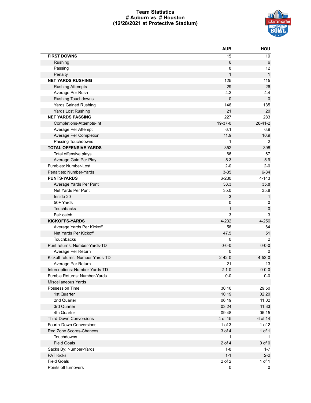#### **Team Statistics # Auburn vs. # Houston (12/28/2021 at Protective Stadium)**



|                                  | <b>AUB</b>   | HOU           |
|----------------------------------|--------------|---------------|
| <b>FIRST DOWNS</b>               | 15           | 19            |
| Rushing                          | 6            | 6             |
| Passing                          | 8            | 12            |
| Penalty                          | $\mathbf{1}$ | $\mathbf{1}$  |
| <b>NET YARDS RUSHING</b>         | 125          | 115           |
| <b>Rushing Attempts</b>          | 29           | 26            |
| Average Per Rush                 | 4.3          | 4.4           |
| <b>Rushing Touchdowns</b>        | $\mathbf 0$  | 0             |
| <b>Yards Gained Rushing</b>      | 146          | 135           |
| Yards Lost Rushing               | 21           | 20            |
| <b>NET YARDS PASSING</b>         | 227          | 283           |
| Completions-Attempts-Int         | 19-37-0      | $26 - 41 - 2$ |
| Average Per Attempt              | 6.1          | 6.9           |
| Average Per Completion           | 11.9         | 10.9          |
| Passing Touchdowns               | $\mathbf{1}$ | 2             |
| <b>TOTAL OFFENSIVE YARDS</b>     | 352          | 398           |
| Total offensive plays            | 66           | 67            |
| Average Gain Per Play            | 5.3          | 5.9           |
| Fumbles: Number-Lost             | $2 - 0$      | $2 - 0$       |
| Penalties: Number-Yards          | $3 - 35$     | $6 - 34$      |
| <b>PUNTS-YARDS</b>               | 6-230        | $4 - 143$     |
| Average Yards Per Punt           | 38.3         | 35.8          |
| Net Yards Per Punt               | 35.0         | 35.8          |
| Inside 20                        | 3            | $\mathbf{1}$  |
| 50+ Yards                        | 0            | 0             |
| Touchbacks                       | $\mathbf{1}$ | $\pmb{0}$     |
| Fair catch                       | 3            | 3             |
| <b>KICKOFFS-YARDS</b>            | 4-232        | 4-256         |
| Average Yards Per Kickoff        | 58           | 64            |
| Net Yards Per Kickoff            | 47.5         | 51            |
| Touchbacks                       | 0            | 2             |
| Punt returns: Number-Yards-TD    | $0 - 0 - 0$  | $0 - 0 - 0$   |
| Average Per Return               | 0            | 0             |
| Kickoff returns: Number-Yards-TD | $2 - 42 - 0$ | $4 - 52 - 0$  |
| Average Per Return               | 21           | 13            |
| Interceptions: Number-Yards-TD   | $2 - 1 - 0$  | $0 - 0 - 0$   |
| Fumble Returns: Number-Yards     | $0-0$        | $0-0$         |
| Miscellaneous Yards              |              |               |
| Possession Time                  | 30:10        | 29:50         |
| 1st Quarter                      | 10:19        | 02:20         |
| 2nd Quarter                      | 06:19        | 11:02         |
| 3rd Quarter                      | 03:24        | 11:33         |
| 4th Quarter                      | 09:48        | 05:15         |
| <b>Third-Down Conversions</b>    | 4 of 15      | 6 of 14       |
| Fourth-Down Conversions          | $1$ of $3$   | $1$ of $2$    |
| Red Zone Scores-Chances          | 3 of 4       | $1$ of $1$    |
| Touchdowns                       | $\mathbf{1}$ | $\mathbf{1}$  |
| <b>Field Goals</b>               | 2 of 4       | $0$ of $0$    |
| Sacks By: Number-Yards           | $1 - 8$      | $1 - 7$       |
| PAT Kicks                        | $1 - 1$      | $2 - 2$       |
| <b>Field Goals</b>               | 2 of 2       |               |
| Points off turnovers             |              | 1 of 1        |
|                                  | 0            | 0             |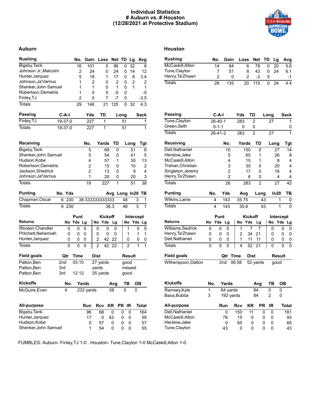#### **Individual Statistics # Auburn vs. # Houston (12/28/2021 at Protective Stadium)**



#### **Auburn Houston**

| <b>Rushing</b>       |         |       | No.            | Gain            |    | Loss           |      | Net TD |       | Lg             |                | Avg            |
|----------------------|---------|-------|----------------|-----------------|----|----------------|------|--------|-------|----------------|----------------|----------------|
| Bigsby, Tank         |         |       | 16             | 101             |    |                | 5    | 96     | 0     | 32             |                | 6              |
| Johnson Jr., Malcolm |         |       | 2              |                 | 24 |                | 0    | 24     | 0     | 14             |                | 12             |
| Hunter, Jarquez      |         |       | 5              |                 | 18 |                | 1    | 17     | 0     |                | 8              | 3.4            |
| Johnson, Ja'Varrius  |         |       | 1              |                 | 2  |                | 0    | 2      | 0     |                | $\overline{2}$ | 2              |
| Shenker, John Samuel |         |       | 1              |                 | 1  |                | 0    | 1      | 0     |                | 1              | 1              |
| Robertson, Demetris  |         |       | 1              |                 | 0  |                | 5    | $-5$   | 0     |                |                | $-5$           |
| Finley, TJ           |         |       | $\overline{c}$ |                 | 0  |                | 7    | $-7$   | 0     |                |                | -3.5           |
| <b>Totals</b>        |         |       | 29             | 146             |    |                | 21   | 125    | 0     | 32             |                | 4.3            |
|                      |         |       |                |                 |    |                |      |        |       |                |                |                |
| <b>Passing</b>       | C-A-I   |       |                | Yds             |    | TD             |      |        | Long  |                |                | Sack           |
| Finley, TJ           | 19-37-0 |       |                | 227             |    | 1              |      |        | 51    |                |                | 1              |
| <b>Totals</b>        | 19-37-0 |       |                | 227             |    | $\mathbf{1}$   |      |        | 51    |                |                | 1              |
| Receiving            |         |       |                | No.             |    | Yards          |      | TD     |       | Long           |                | Tgt            |
| Bigsby, Tank         |         |       |                | 5               |    |                | 68   | 0      |       |                | 51             | 6              |
| Shenker, John Samuel |         |       |                | 5               |    |                | 54   | 0      |       |                | 41             | 5              |
| Hudson, Kobe         |         |       |                | 4               |    |                | 57   | 1      |       |                | 30             | 13             |
| Robertson, Demetris  |         |       |                | 2               |    |                | 15   | 0      |       |                | 10             | 2              |
| Jackson, Shedrick    |         |       |                | $\overline{2}$  |    |                | 13   | 0      |       |                | 9              | $\overline{4}$ |
| Johnson, Ja'Varrius  |         |       |                | 1               |    |                | 20   | 0      |       |                | 20             | 3              |
| <b>Totals</b>        |         |       |                | 19              |    |                |      | 1      |       |                |                | 38             |
|                      |         |       |                |                 |    |                | 227  |        |       |                | 51             |                |
| <b>Punting</b>       | No. Yds |       |                |                 |    |                | Avg  |        | Long  |                |                | $In20$ TB      |
| Chapman, Oscar       |         | 6 230 |                | 38.333333333333 |    |                |      |        | 48    |                | 3              | 1              |
| <b>Totals</b>        | 6       | 230   |                |                 |    |                | 38.3 |        | 48    |                | 3              | 1              |
|                      |         |       | Punt           |                 |    | <b>Kickoff</b> |      |        |       |                |                |                |
| <b>Returns</b>       |         |       | No Yds Lg      |                 |    | No Yds         |      |        |       |                | Intercept      | No Yds Lg      |
|                      |         |       |                |                 |    |                |      | Lg     |       |                |                |                |
| Wooten, Chandler     |         | 0     | 0              | 0               |    | 0              | 0    | 0      |       | 1              | 0              | 0              |
| Pritchett, Nehemiah  |         | 0     | 0              | 0               |    | 0              | 0    | 0      |       | 1              | 1              | 1              |
| Hunter, Jarquez      |         | 0     | 0              | 0               |    | $\overline{2}$ | 42   | 22     |       | 0              | 0              | 0              |
| <b>Totals</b>        |         | 0     | 0              | 0               |    | $\overline{2}$ | 42   | 22     |       | $\overline{2}$ | 1              | $\mathbf{1}$   |
| <b>Field goals</b>   |         | Qtr   | Time           |                 |    | <b>Dist</b>    |      |        |       | <b>Result</b>  |                |                |
| Patton, Ben          | 2nd     |       | 03:10          |                 |    | 27 yards       |      |        |       | good           |                |                |
| Patton, Ben          | 3rd     |       |                |                 |    | yards          |      |        |       | missed         |                |                |
| Patton, Ben          | 3rd     |       | 12:12          |                 |    | 35 yards       |      |        |       | good           |                |                |
| <b>Kickoffs</b>      |         | No.   |                | <b>Yards</b>    |    |                |      | Avg    |       | <b>TR</b>      | 0 <sub>R</sub> |                |
| McGuire, Evan        |         | 4     |                | 232 yards       |    |                |      | 58     | 0     |                | 0              |                |
|                      |         |       |                |                 |    |                |      |        |       |                |                |                |
| <b>All-purpose</b>   |         |       |                | Run             |    | Rcv            |      | KR     | PR IR |                |                | <b>Total</b>   |
| Bigsby, Tank         |         |       |                | 96              |    | 68             |      | 0      | 0     | 0              |                | 164            |
| Hunter, Jarquez      |         |       |                | 17              |    | 0              |      | 42     | 0     | 0              |                | 59             |
| Hudson, Kobe         |         |       |                | 0               |    | 57             |      | 0      | 0     | 0              |                | 57             |
| Shenker, John Samuel |         |       |                | 1               |    | 54             |      | 0      | 0     | 0              |                | 55             |

| <b>Rushing</b>      |     | No.            | Gain           |       | Loss           |                | Net                 | TD   |      | Lg              | Avg                 |
|---------------------|-----|----------------|----------------|-------|----------------|----------------|---------------------|------|------|-----------------|---------------------|
| McCaskill, Alton    |     | 14             |                | 84    |                | 6              | 78                  |      | 0    | 20              | 5.6                 |
| Tune, Clayton       |     | 7              |                | 51    |                | 8              | 43                  |      | 0    | 24              | 6.1                 |
| Henry, Ta'Zhawn     |     | $\overline{2}$ |                | 0     |                | $\overline{2}$ | $-2$                |      | 0    |                 | -1                  |
| <b>Totals</b>       |     | 26             | 135            |       |                | 20             | 115                 |      | 0    | $\overline{24}$ | 4.4                 |
|                     |     |                |                |       |                |                |                     |      |      |                 |                     |
| Passing             |     | $C-A-I$        |                |       | Yds            |                | TD                  |      | Long |                 | Sack                |
| Tune, Clayton       |     | $26 - 40 - 1$  |                |       | 283            |                | 2                   |      | 27   |                 | 1                   |
| Green, Seth         |     | $0 - 1 - 1$    |                |       | 0              |                | 0                   |      |      |                 | 0                   |
| <b>Totals</b>       |     | $26 - 41 - 2$  |                |       | 283            |                | $\overline{2}$      |      | 27   |                 | 1                   |
| Receiving           |     |                | No.            |       |                | Yards          | TD                  |      |      | Long            | <b>Tgt</b>          |
| Dell, Nathaniel     |     |                | 10             |       |                | 150            | 0                   |      |      | 27              | 14                  |
| Herslow, Jake       |     |                | 5              |       |                | 65             | 1                   |      |      | 26              | 8                   |
| McCaskill, Alton    |     |                | 4              |       |                | 15             | 1                   |      |      | 8               | 4                   |
| Trahan, Christian   |     |                | 3              |       |                | 30             | 0                   |      |      | 20              | 4                   |
| Singleton, Jeremy   |     |                | $\overline{2}$ |       |                | 17             | 0                   |      |      | 16              | 4                   |
| Henry, Ta'Zhawn     |     |                | $\overline{2}$ |       |                | 6              | 0                   |      |      | 4               | 4                   |
| <b>Totals</b>       |     |                | 26             |       |                | 283            | $\overline{2}$      |      |      | 27              | 42                  |
| <b>Punting</b>      | No. |                | Yds            |       | Avg            |                |                     | Long |      | In20            | TВ                  |
| Wilkins, Laine      |     | 4              | 143            |       | 35.75          |                |                     | 43   |      | 1               | 0                   |
| <b>Totals</b>       |     | 4              | 143            |       | 35.8           |                |                     | 43   |      | $\overline{1}$  | 0                   |
|                     |     | Punt           |                |       |                |                | <b>Kickoff</b>      |      |      | Intercept       |                     |
| <b>Returns</b>      | No  | Yds            | Lg             |       |                | No Yds         | Lg                  |      | No   | Yds             | Lg                  |
| Williams, Sedrick   | 0   | 0              | 0              |       | 1              |                | $\overline{7}$<br>7 |      | 0    |                 | 0<br>0              |
| Henry, Ta'Zhawn     | 0   | 0              | 0              |       | $\overline{2}$ | 34             | 21                  |      | 0    |                 | 0<br>0              |
| Dell, Nathaniel     | 0   | 0              | 0              |       | 1              | 11             | 11                  |      | 0    |                 | 0<br>0              |
| <b>Totals</b>       | 0   | 0              | 0              |       | 4              | 52             | 21                  |      | 0    |                 | $\overline{0}$<br>0 |
| <b>Field goals</b>  |     |                | Qtr            | Time  |                |                | Dist                |      |      | Result          |                     |
| Witherspoon, Dalton |     |                | 2nd            | 06:58 |                |                | 52 yards            |      |      | qood            |                     |
|                     |     |                |                |       |                |                |                     |      |      |                 |                     |
| <b>Kickoffs</b>     | No. |                | Yards          |       |                |                | Avg                 |      | ТB   |                 | <b>OB</b>           |
| Ramsey, Kyle        | 1   |                | 64 yards       |       |                |                | 64                  |      | 0    | 0               |                     |
| Baxa, Bubba         | 3   |                | 192 yards      |       |                |                | 64                  |      | 2    | 0               |                     |
|                     |     |                |                |       |                |                |                     |      |      |                 |                     |

| All-purpose     | Run | Rcv | KR.          | PR IR | Total |
|-----------------|-----|-----|--------------|-------|-------|
| Dell.Nathaniel  | 0   | 150 | 11           |       | 161   |
| McCaskill.Alton | 78  | 15  | $\mathbf{I}$ |       | 93    |
| Herslow, Jake   | 0   | 65  | $\mathbf{I}$ |       | 65    |
| Tune, Clayton   | 43  | 0   | $^{(1)}$     |       | 43    |

FUMBLES: Auburn- Finley,TJ 1-0 . Houston- Tune,Clayton 1-0 McCaskill,Alton 1-0 .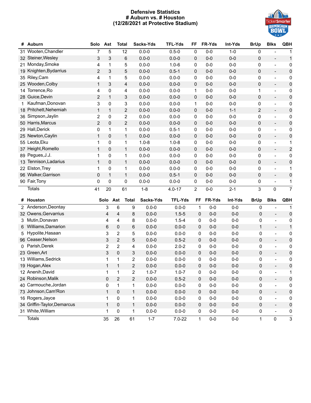#### **Defensive Statistics # Auburn vs. # Houston (12/28/2021 at Protective Stadium)**



| #            | Auburn                 | Solo                    | Ast            | <b>Total</b>   |                         | Sacks-Yds | <b>TFL-Yds</b> | FF             | FR-Yds  | Int-Yds | <b>BrUp</b>    | <b>Blks</b>                  | <b>QBH</b>              |
|--------------|------------------------|-------------------------|----------------|----------------|-------------------------|-----------|----------------|----------------|---------|---------|----------------|------------------------------|-------------------------|
| 31           | Wooten, Chandler       | $\overline{7}$          | 5              | 12             |                         | $0.0 - 0$ | $0.5 - 0$      | 0              | $0-0$   | $1 - 0$ | 0              |                              | 1                       |
|              | 32 Steiner, Wesley     | 3                       | 3              | 6              |                         | $0.0 - 0$ | $0.0 - 0$      | 0              | $0 - 0$ | $0-0$   | $\mathbf 0$    | $\overline{a}$               | $\mathbf 1$             |
|              | 21 Monday, Smoke       | 4                       | 1              | 5              |                         | $0.0 - 0$ | $1.0 - 6$      | 0              | $0-0$   | $0-0$   | 0              | $\frac{1}{2}$                | $\pmb{0}$               |
|              | 19 Knighten, Bydarrius | 2                       | 3              | 5              |                         | $0.0 - 0$ | $0.5 - 1$      | 0              | $0-0$   | $0-0$   | $\mathbf 0$    | $\overline{\phantom{a}}$     | $\pmb{0}$               |
|              | 35 Riley, Cam          | 4                       | 1              | 5              |                         | $0.0 - 0$ | $0.0 - 0$      | 0              | $0-0$   | $0 - 0$ | 0              | $\overline{\phantom{a}}$     | 0                       |
|              | 25 Wooden, Colby       | $\mathbf{1}$            | 3              | $\overline{4}$ |                         | $0.0 - 0$ | $0.0 - 0$      | 0              | $0-0$   | $0-0$   | $\pmb{0}$      | $\overline{\phantom{a}}$     | $\pmb{0}$               |
| 14           | Torrence, Ro           | 4                       | 0              | 4              |                         | $0.0 - 0$ | $0.0 - 0$      | 1              | $0 - 0$ | $0 - 0$ | $\mathbf 1$    | $\overline{\phantom{a}}$     | 0                       |
|              | 28 Guice, Devin        | $\overline{2}$          | $\mathbf{1}$   | 3              |                         | $0.0 - 0$ | $0.0 - 0$      | 0              | $0 - 0$ | $0 - 0$ | $\pmb{0}$      | $\overline{\phantom{a}}$     | $\pmb{0}$               |
| $\mathbf{1}$ | Kaufman, Donovan       | 3                       | 0              | 3              |                         | $0.0 - 0$ | $0.0 - 0$      | 1              | $0-0$   | $0-0$   | 0              | $\overline{\phantom{a}}$     | $\pmb{0}$               |
|              | 18 Pritchett, Nehemiah | $\mathbf{1}$            | $\mathbf{1}$   | $\overline{2}$ |                         | $0.0 - 0$ | $0.0 - 0$      | 0              | $0-0$   | $1 - 1$ | $\overline{2}$ | $\overline{\phantom{a}}$     | $\pmb{0}$               |
|              | 36 Simpson, Jaylin     | $\overline{\mathbf{c}}$ | 0              | $\overline{2}$ |                         | $0.0 - 0$ | $0.0 - 0$      | 0              | $0-0$   | $0-0$   | 0              | $\overline{\phantom{a}}$     | 0                       |
|              | 50 Harris, Marcus      | $\overline{2}$          | 0              | $\overline{2}$ |                         | $0.0 - 0$ | $0.0 - 0$      | 0              | $0-0$   | $0-0$   | $\pmb{0}$      | $\blacksquare$               | $\pmb{0}$               |
|              | 29 Hall, Derick        | 0                       | $\mathbf{1}$   | 1              |                         | $0.0 - 0$ | $0.5 - 1$      | 0              | $0-0$   | $0-0$   | 0              | $\blacksquare$               | 0                       |
|              | 25 Newton, Caylin      | $\mathbf{1}$            | 0              | $\mathbf{1}$   |                         | $0.0 - 0$ | $0.0 - 0$      | 0              | $0 - 0$ | $0-0$   | $\mathbf 0$    | $\overline{\phantom{a}}$     | $\pmb{0}$               |
|              | 55 Leota, Eku          | 1                       | 0              | $\mathbf{1}$   |                         | $1.0 - 8$ | $1.0 - 8$      | 0              | $0-0$   | $0 - 0$ | $\pmb{0}$      | $\overline{\phantom{a}}$     | 1                       |
|              | 37 Height, Romello     | $\mathbf{1}$            | 0              | $\mathbf{1}$   |                         | $0.0 - 0$ | $0.0 - 0$      | 0              | $0 - 0$ | $0-0$   | $\mathbf 0$    | $\overline{\phantom{a}}$     | $\overline{\mathbf{c}}$ |
|              | 89 Pegues, J.J.        | 1                       | 0              | $\mathbf{1}$   |                         | $0.0 - 0$ | $0.0 - 0$      | 0              | $0-0$   | $0 - 0$ | 0              | $\overline{\phantom{a}}$     | $\pmb{0}$               |
|              | 13 Tennison, Ladarius  | $\mathbf{1}$            | 0              | $\mathbf{1}$   |                         | $0.0 - 0$ | $0.0 - 0$      | 0              | $0-0$   | $0 - 0$ | $\mathbf 0$    | $\overline{\phantom{a}}$     | $\pmb{0}$               |
|              | 22 Elston, Trey        | 1                       | 0              | 1              |                         | $0.0 - 0$ | $0.0 - 0$      | 0              | $0-0$   | $0-0$   | 0              | $\overline{\phantom{a}}$     | 1                       |
|              | 96 Walker, Garrison    | 0                       | $\mathbf{1}$   | $\mathbf{1}$   |                         | $0.0 - 0$ | $0.5 - 1$      | 0              | $0-0$   | $0-0$   | $\mathbf 0$    | $\overline{\phantom{a}}$     | $\pmb{0}$               |
|              | 90 Fair, Tony          | 0                       | 0              | 0              |                         | $0.0 - 0$ | $0.0 - 0$      | 0              | $0-0$   | $0-0$   | 0              | $\overline{\phantom{a}}$     | 1                       |
|              | Totals                 | 41                      | 20             | 61             |                         | $1 - 8$   | $4.0 - 17$     | $\overline{2}$ | $0-0$   | $2 - 1$ | 3              | $\mathbf{0}$                 | $\overline{7}$          |
| #            | Houston                |                         | Solo           | Ast            | <b>Total</b>            | Sacks-Yds | <b>TFL-Yds</b> | FF             | FR-Yds  | Int-Yds | <b>BrUp</b>    | <b>Blks</b>                  | <b>QBH</b>              |
| 2            | Anderson, Deontay      |                         | 3              | 6              | 9                       | $0.0 - 0$ | $0.0 - 0$      | $\mathbf{1}$   | $0-0$   | $0-0$   | 0              | $\overline{a}$               | 1                       |
|              | 32 Owens, Gervarrius   |                         | 4              | 4              | 8                       | $0.0 - 0$ | $1.5 - 5$      | $\mathbf 0$    | $0-0$   | $0-0$   | $\pmb{0}$      | $\overline{a}$               | $\pmb{0}$               |
| 3            | Mutin, Donavan         |                         | 4              | 4              | 8                       | $0.0 - 0$ | $1.5 - 4$      | 0              | $0-0$   | $0-0$   | 0              | $\frac{1}{2}$                | 0                       |
| 6            | Williams, Damarion     |                         | 6              | 0              | 6                       | $0.0 - 0$ | $0.0 - 0$      | $\mathbf 0$    | $0-0$   | $0-0$   | $\mathbf{1}$   | $\blacksquare$               | $\mathbf 1$             |
| 5            | Hypolite, Hasaan       |                         | 3              | $\overline{2}$ | 5                       | $0.0 - 0$ | $0.0 - 0$      | 0              | $0-0$   | $0-0$   | $\mathbf 0$    | $\blacksquare$               | 0                       |
|              | 96 Ceaser, Nelson      |                         | 3              | $\overline{2}$ | 5                       | $0.0 - 0$ | $0.5 - 2$      | 0              | $0-0$   | $0 - 0$ | $\pmb{0}$      | $\blacksquare$               | $\pmb{0}$               |
| 0            | Parish, Derek          |                         | $\overline{2}$ | $\overline{2}$ | 4                       | $0.0 - 0$ | $2.0 - 2$      | 0              | $0-0$   | $0-0$   | $\mathbf 0$    | $\frac{1}{2}$                | $\pmb{0}$               |
|              | 23 Green, Art          |                         | 3              | 0              | $\mathsf 3$             | $0.0 - 0$ | $0.0 - 0$      | 0              | $0-0$   | $0 - 0$ | $\pmb{0}$      | $\overline{\phantom{a}}$     | $\pmb{0}$               |
|              | 13 Williams, Sedrick   |                         | $\mathbf{1}$   | 1              | $\overline{\mathbf{c}}$ | $0.0 - 0$ | $0.0 - 0$      | 0              | $0-0$   | $0-0$   | $\mathbf 0$    | $\overline{\phantom{a}}$     | 0                       |
|              | 19 Hogan, Alex         |                         | $\mathbf{1}$   | $\mathbf{1}$   | $\mathbf{2}$            | $0.0 - 0$ | $0.0 - 0$      | 0              | $0-0$   | $0-0$   | 0              | $\blacksquare$               | $\pmb{0}$               |
|              | 12 Anenih, David       |                         | 1              | 1              | $\overline{\mathbf{c}}$ | $1.0 - 7$ | $1.0 - 7$      | 0              | $0-0$   | $0-0$   | 0              | $\overline{\phantom{0}}$     | 1                       |
|              | 24 Robinson, Malik     |                         | 0              | $\overline{2}$ | $\overline{2}$          | $0.0 - 0$ | $0.5 - 2$      | 0              | $0-0$   | $0-0$   | $\pmb{0}$      | $\overline{\phantom{a}}$     | $\pmb{0}$               |
|              | 40 Carmouche, Jordan   |                         | 0              | $\mathbf 1$    | $\mathbf 1$             | $0.0 - 0$ | $0.0 - 0$      | 0              | $0-0$   | $0-0$   | $\mathbf 0$    | $\qquad \qquad \blacksquare$ | $\pmb{0}$               |
|              | 73 Johnson, Cam'Ron    |                         | $\mathbf{1}$   | 0              | $\mathbf{1}$            | $0.0 - 0$ | $0.0 - 0$      | $\mathbf 0$    | $0 - 0$ | $0 - 0$ | $\mathbf{0}$   |                              | $\mathbf 0$             |

16 Rogers, Jayce **1 0 1 0.0-0 0.0-0 0 0-0 0-0 0 - 0** 34 Griffin-Taylor, Demarcus 1 0 1 0.0-0 0.0-0 0 0-0 0-0 0 - 0

1 0 1 0.0-0 0.0-0 0.0-0 0-0 0 - 0<br>
70tals 35 26 61 1-7 7.0-22 1 0-0 0-0 1 0 3 Totals 35 26 61 1-7 7.0-22 1 0-0 0-0 1 0 3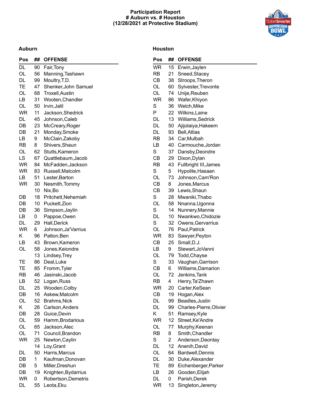#### **Participation Report # Auburn vs. # Houston (12/28/2021 at Protective Stadium)**



#### **Auburn**

#### **Houston**

| Pos | ## | <b>OFFENSE</b>         |
|-----|----|------------------------|
| DL  | 90 | Fair, Tony             |
| OL  | 56 | Manning, Tashawn       |
| DL  | 99 | Moultry, T.D.          |
| TE  | 47 | Shenker, John Samuel   |
| OL  | 68 | <b>Troxell, Austin</b> |
| LВ  | 31 | Wooten, Chandler       |
| OL  | 50 | Irvin, Jalil           |
| WR  | 11 | Jackson, Shedrick      |
| DL  | 45 | Johnson, Caleb         |
| DB  | 23 | McCreary, Roger        |
| DB  | 21 | Monday, Smoke          |
| LВ  | 9  | McClain, Zakoby        |
| RB  | 8  | Shivers, Shaun         |
| OL  | 62 | Stutts, Kameron        |
| LS  | 67 | Quattlebaum, Jacob     |
| WR  | 84 | McFadden, Jackson      |
| WR  | 83 | Russell, Malcolm       |
| LВ  | 51 | Lester, Barton         |
| WR  | 30 | Nesmith, Tommy         |
|     | 10 | Nix, Bo                |
| DB  | 18 | Pritchett, Nehemiah    |
| DB  | 10 | Puckett, Zion          |
| DB  | 36 | Simpson, Jaylin        |
| LB  | 0  | Pappoe, Owen           |
| DL  | 29 | Hall, Derick           |
| WR  | 6  | Johnson, Ja'Varrius    |
| Κ   | 96 | Patton, Ben            |
| LВ  | 43 | Brown, Kameron         |
| OL  | 58 | Jones, Keiondre        |
|     | 13 | Lindsey, Trey          |
| TE  | 86 | Deal, Luke             |
| TЕ  | 85 | Fromm, Tyler           |
| RB  | 46 | Jasinski, Jacob        |
| LB  | 52 | Logan, Russ            |
| DL  | 25 | Wooden, Colby          |
| DB  | 16 | Askew, Malcolm         |
| OL  | 52 | Brahms, Nick           |
| Κ   | 26 | Carlson, Anders        |
| DB  | 28 | Guice, Devin           |
| OL  | 59 | Hamm, Brodarious       |
| OL  | 65 | Jackson, Alec          |
| OL  | 71 | Council, Brandon       |
| WR  | 25 | Newton, Caylin         |
|     | 14 | Loy, Grant             |
| DL  | 50 | Harris, Marcus         |
| DB  | 1  | Kaufman, Donovan       |
| DB  | 5  | Miller, Dreshun        |
| DB  | 19 | Knighten, Bydarrius    |
| WR  | 0  | Robertson, Demetris    |
| DL  | 55 | Leota, Eku             |

| Pos       | ##              | <b>OFFENSE</b>          |
|-----------|-----------------|-------------------------|
| <b>WR</b> | 15 <sub>1</sub> | Erwin, Jaylen           |
| RB        | 21              | Sneed, Stacey           |
| СB        | 38              | Stroops, Theron         |
| OL        | 60              | Sylvester, Trevonte     |
| OL        | 74              | Unije, Reuben           |
| <b>WR</b> | 86              | Wafer, Khiyon           |
| S         | 36              | Welch, Mike             |
| P         | 22              | Wilkins, Laine          |
| DL        | 13 <sup>°</sup> | Williams, Sedrick       |
| DL        | 50              | Ajijolaiya, Hakeem      |
| DL        | 93              | <b>Bell, Atlias</b>     |
| RB        | 34              | Car, Mulbah             |
| LВ        | 40              | Carmouche, Jordan       |
| S         | 37              | Dansby, Deondre         |
| СB        | 29              | Dixon, Dylan            |
| RB        | 43              | Fullbright III, James   |
| S         | 5               | Hypolite, Hasaan        |
| OL        | 73              | Johnson, Cam'Ron        |
| СB        | 8               | Jones, Marcus           |
| СB        | 39              | Lewis, Shaun            |
| S         | 28              | Mwaniki, Thabo          |
| OL        | 58              | Nnanna, Ugonna          |
| S         | 14              | Nunnery, Mannie         |
| DL        | 10              | Nwankwo, Chidozie       |
| S         | 32              | Owens, Gervarrius       |
| OL        | 76              | Paul, Patrick           |
| <b>WR</b> | 83              | Sawyer, Peyton          |
| СB        | 25              | Small, D.J.             |
| LВ        | 9               | Stewart, JoVanni        |
| OL        | 79              | Todd, Chayse            |
| S         | 33              | Vaughan, Garrison       |
| СB        | 6               | Williams, Damarion      |
| OL        | 72              | Jenkins, Tank           |
| <b>RB</b> | 4               | Henry, Ta'Zhawn         |
| WR        | 20              | Carter, KeSean          |
| СB        | 19              | Hogan, Alex             |
| DL        | 99              | Beadles, Justin         |
| DL        | 99              | Charles-Pierre, Olivier |
| Κ         | 51              | Ramsey, Kyle            |
| <b>WR</b> | 12 <sub>2</sub> | Street, Ke'Andre        |
| OL        | 77              | Murphy, Keenan          |
| RB        | 8               | Smith, Chandler         |
| S         | $\overline{2}$  | Anderson, Deontay       |
| DL        | 12              | Anenih, David           |
| OL        | 64              | Bardwell, Dennis        |
| DL        | 30              | Duke, Alexander         |
| TЕ        | 89              | Eichenberger, Parker    |
| LB        | 26              | Gooden, Elijah          |
| DL        | 0               | Parish, Derek           |
| WR        | 13              | Singleton, Jeremy       |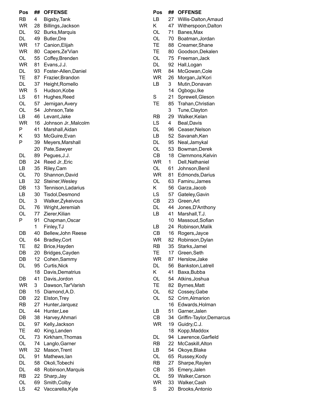| Pos       | ##              | <b>OFFENSE</b>       |
|-----------|-----------------|----------------------|
| RB        | 4               | Bigsby, Tank         |
| WR        | 28              | Billings, Jackson    |
| DL        | 92              | Burks, Marquis       |
| DL        | 49              | <b>Butler, Dre</b>   |
| WR        | 17              | Canion, Elijah       |
| <b>WR</b> | 80              | Capers, Ze'Vian      |
| OL        | 55              | Coffey, Brenden      |
| WR        | 81              | Evans, J.J.          |
| DL        | 93              | Foster-Allen, Daniel |
| ТE        | 87              | Frazier, Brandon     |
| DL        | 37              |                      |
|           |                 | Height, Romello      |
| WR        | 5               | Hudson, Kobe         |
| LS        | 61              | Hughes, Reed         |
| OL        | 57              | Jernigan, Avery      |
| OL        | 54              | Johnson, Tate        |
| LВ        | 46              | Levant, Jake         |
| WR        | 16              | Johnson Jr., Malcolm |
| P         | 41              | Marshall, Aidan      |
| Κ         | 93              | McGuire, Evan        |
| P         | 39              | Meyers, Marshall     |
|           | 20              | Pate, Sawyer         |
| DL        | 89              | Pegues, J.J.         |
| DB        | 24              | Reed Jr., Eric       |
| LВ        | 35              | Riley, Cam           |
| OL        | 70              | Shannon, David       |
| LВ        | 32              | Steiner, Wesley      |
| DB        | 13              | Tennison, Ladarius   |
| LВ        |                 |                      |
|           | 30              | Tisdol, Desmond      |
| DL        | 3               | Walker, Zykeivous    |
| DL        | 76              | Wright, Jeremiah     |
| OL        | 77              | Zierer, Kilian       |
| P         | 91              | Chapman, Oscar       |
|           | 1               | Finley, TJ           |
| DB        | 40              | Bellew, John Reese   |
| OL        | 64              | <b>Bradley, Cort</b> |
| ТE        | 82              | Brice, Hayden        |
| DB        | 20              | Bridges, Cayden      |
| DB        | 12 <sub>2</sub> | Cohen, Sammy         |
| DL        | 95              | Curtis, Nick         |
|           | 18              | Davis, Dematrius     |
| DB        | 41              | Davis, Jordon        |
| WR        | 3               | Dawson, Tar'Varish   |
| DB        | 15              | Diamond, A.D.        |
| DB        | 22              | Elston, Trey         |
| RB        | 27              | Hunter, Jarquez      |
| DL        | 44              | Hunter, Lee          |
| DB        | 38              | Harvey, Ahmari       |
| DL        | 97              | Kelly, Jackson       |
| TE        |                 |                      |
| OL        | 40<br>73        | King, Landen         |
|           |                 | Kirkham, Thomas      |
| OL        | 74              | Langlo, Garner       |
| WR        | 32              | Mason, Trent         |
| DL        | 91              | Mathews, lan         |
| DL        | 58              | Okoli, Tobechi       |
| DL        | 48              | Robinson, Marquis    |
| RB        | 22              | Sharp, Jay           |
| OL        | 69              | Smith, Colby         |
| LS        | 42              | Vaccarella, Kyle     |

| Pos       | ## | <b>OFFENSE</b>           |
|-----------|----|--------------------------|
| LВ        | 27 | Willis-Dalton, Amaud     |
| Κ         | 47 | Witherspoon, Dalton      |
| OL        | 71 | Banes, Max               |
| OL        | 70 | Boatman, Jordan          |
| TE        | 88 | Creamer, Shane           |
| TE        | 80 | Goodson, Dekalen         |
| OL        | 75 | Freeman, Jack            |
| DL        | 92 | Hall, Logan              |
| <b>WR</b> | 84 |                          |
|           |    | McGowan, Cole            |
| <b>WR</b> | 26 | Morgan, Ja'Kori          |
| LВ        | 3  | Mutin, Donavan           |
|           | 14 | Ogbogu, Ike              |
| S         | 21 | Sprewell, Gleson         |
| TE        | 85 | Trahan, Christian        |
|           | 3  | Tune, Clayton            |
| <b>RB</b> | 29 | Walker, Kelan            |
| LS        | 4  | Beal, Davis              |
| DL        | 96 | Ceaser, Nelson           |
| LВ        | 52 | Savanah, Ken             |
| DL        | 95 | Neal, Jamykal            |
| OL        | 53 | Bowman, Derek            |
| СB        | 18 | Clemmons, Kelvin         |
| <b>WR</b> | 1  | Dell, Nathaniel          |
| OL        | 61 | Johnson, Benil           |
| <b>WR</b> | 81 | Edmonds, Darius          |
| OL        | 63 | Faminu, James            |
| Κ         | 56 | Garza, Jacob             |
| LS        | 57 | Gateley, Gavin           |
| CВ        | 23 | Green, Art               |
| DL        | 44 | Jones, D'Anthony         |
| LB        | 41 | Marshall, T.J.           |
|           |    |                          |
|           | 10 | Massoud, Sofian          |
| LВ        | 24 | Robinson, Malik          |
| <b>CB</b> | 16 | Rogers, Jayce            |
| WR        | 82 | Robinson, Dylan          |
| RB        | 35 | Starks, Jamel            |
| TE        | 17 | Green, Seth              |
| <b>WR</b> | 87 | Herslow, Jake            |
| DL        | 56 | Bankston, Latrell        |
| Κ         | 41 | Baxa, Bubba              |
| OL        | 54 | Atkins, Joshua           |
| ТE        | 82 | Byrnes, Matt             |
| OL        | 62 | Cossey, Gabe             |
| OL        | 52 | Crim, Almarion           |
|           | 16 | Edwards, Holman          |
| LB        | 51 | Garner, Jalen            |
| CB        | 34 | Griffin-Taylor, Demarcus |
| WR        | 19 | Guidry, C.J.             |
|           | 18 | Kopp, Maddox             |
| DL        | 94 | Lawrence, Garfield       |
| RB        | 22 | McCaskill, Alton         |
| LВ        | 54 | Okoye, Blake             |
|           |    |                          |
| OL        | 65 | Russey, Kody             |
| RB        | 27 | Sharpe, Raylen           |
| СB        | 35 | Emery, Jalen             |
| OL        | 59 | Walker, Carson           |
| WR        | 33 | Walker, Cash             |
| S         | 20 | Brooks, Antonio          |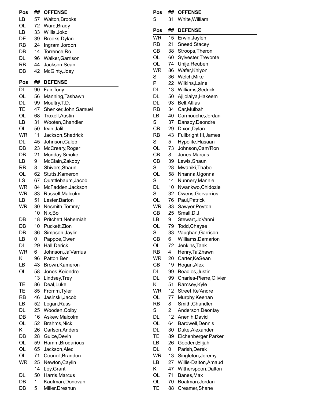| Pos       | ##       | <b>OFFENSE</b>                      |
|-----------|----------|-------------------------------------|
| LB        | 57       | <b>Walton, Brooks</b>               |
| OL        | 72       | Ward, Brady                         |
| LВ        | 33       | Willis, Joko                        |
| DE        | 39       | Brooks, Dylan                       |
| <b>RB</b> | 24       | Ingram, Jordon                      |
| DB        | 14       | Torrence, Ro                        |
| DL        | 96       | Walker, Garrison                    |
| RB        | 44       | Jackson, Sean                       |
| DB        | 42       | McGinty, Joey                       |
| Pos       | ##       | <b>DEFENSE</b>                      |
| DL        | 90       | Fair,Tony                           |
| OL        | 56       | Manning, Tashawn                    |
| DL        | 99       | Moultry, T.D.                       |
| <b>TE</b> | 47       | Shenker, John Samuel                |
| OL        | 68       | <b>Troxell, Austin</b>              |
| LВ        | 31       | Wooten, Chandler                    |
| OL        | 50       | Irvin, Jalil                        |
| WR<br>DL  | 11       | Jackson, Shedrick<br>Johnson, Caleb |
| DB        | 45<br>23 | McCreary, Roger                     |
| DB        | 21       | Monday, Smoke                       |
| LB        | 9        | McClain, Zakoby                     |
| RB        | 8        | Shivers, Shaun                      |
| OL        | 62       | Stutts, Kameron                     |
| LS        | 67       | Quattlebaum, Jacob                  |
| WR        | 84       | McFadden, Jackson                   |
| WR        | 83       | Russell, Malcolm                    |
| LB        | 51       | Lester, Barton                      |
| WR        | 30       | Nesmith, Tommy                      |
|           | 10       | Nix,Bo                              |
| DB        | 18       | Pritchett, Nehemiah                 |
| DB        | 10       | Puckett, Zion                       |
| DB        | 36       | Simpson, Jaylin                     |
| LB        | 0        | Pappoe, Owen                        |
| DL        | 29       | Hall, Derick                        |
| WR        | 6        | Johnson, Ja'Varrius                 |
| Κ         | 96       | Patton, Ben                         |
| LB        | 43       | Brown, Kameron                      |
| OL        | 58       | Jones, Keiondre                     |
|           | 13       | Lindsey, Trey<br>Deal, Luke         |
| TЕ<br>TЕ  | 86<br>85 | Fromm, Tyler                        |
| RB        | 46       | Jasinski, Jacob                     |
| LВ        | 52       | Logan, Russ                         |
| DL        | 25       | Wooden, Colby                       |
| DB        | 16       | Askew, Malcolm                      |
| OL        | 52       | Brahms, Nick                        |
| Κ         | 26       | Carlson, Anders                     |
| DB        | 28       | Guice, Devin                        |
| OL        | 59       | Hamm, Brodarious                    |
| OL        | 65       | Jackson, Alec                       |
| OL        | 71       | Council, Brandon                    |
| <b>WR</b> | 25       | Newton, Caylin                      |
|           | 14       | Loy, Grant                          |
| DL        | 50       | Harris, Marcus                      |
| DB        | 1        | Kaufman, Donovan                    |
| DB        | 5        | Miller, Dreshun                     |

| Pos             | ##              | <b>OFFENSE</b>          |
|-----------------|-----------------|-------------------------|
| S               | 31              | White, William          |
| Pos             | ##              | <b>DEFENSE</b>          |
|                 | 15              |                         |
| WR<br><b>RB</b> |                 | Erwin, Jaylen           |
|                 | 21              | Sneed, Stacey           |
| CB              | 38              | Stroops, Theron         |
| OL              | 60              | Sylvester, Trevonte     |
| OL              | 74              | Unije, Reuben           |
| <b>WR</b>       | 86              | Wafer, Khiyon           |
| S               | 36              | Welch, Mike             |
| P               | 22              | Wilkins, Laine          |
| DL              | 13 <sup>°</sup> | Williams, Sedrick       |
| DL              | 50              | Ajijolaiya, Hakeem      |
| DL              | 93              | <b>Bell, Atlias</b>     |
| RB              | 34              | Car, Mulbah             |
| LВ              | 40              | Carmouche, Jordan       |
| S               | 37              | Dansby, Deondre         |
| CB              | 29              | Dixon, Dylan            |
| RB              | 43              | Fullbright III, James   |
| S               | 5               | Hypolite, Hasaan        |
| OL              | 73              | Johnson, Cam'Ron        |
| СB              | 8               | Jones, Marcus           |
| <b>CB</b>       | 39              | Lewis, Shaun            |
| S               | 28              | Mwaniki, Thabo          |
| OL              | 58              | Nnanna, Ugonna          |
| S               | 14              | Nunnery, Mannie         |
| DL              | 10              | Nwankwo, Chidozie       |
| S               | 32              | Owens, Gervarrius       |
| OL              | 76              | Paul, Patrick           |
| <b>WR</b>       | 83              | Sawyer, Peyton          |
| <b>CB</b>       | 25              | Small, D.J.             |
| LB              | 9               | Stewart, JoVanni        |
| OL              | 79              | Todd, Chayse            |
| S               | 33              | Vaughan, Garrison       |
| СB              | 6               | Williams, Damarion      |
| OL              | 72              | Jenkins, Tank           |
| RB              | 4               | Henry, Ta'Zhawn         |
| <b>WR</b>       | 20              | Carter, KeSean          |
| СB              | 19              | Hogan, Alex             |
| DL              | 99              | Beadles, Justin         |
| DL              | 99              | Charles-Pierre, Olivier |
| Κ               | 51              | Ramsey, Kyle            |
| <b>WR</b>       | 12              | Street, Ke' Andre       |
| OL              | 77              | Murphy, Keenan          |
| RB              | 8               | Smith, Chandler         |
| S               | 2               | Anderson, Deontay       |
| DL              | 12 <sub>2</sub> | Anenih, David           |
| OL              | 64              | Bardwell, Dennis        |
| DL              | 30              | Duke, Alexander         |
| TE              | 89              | Eichenberger, Parker    |
| LВ              | 26              | Gooden, Elijah          |
| DL              | 0               | Parish, Derek           |
| WR              | 13 <sup>°</sup> | Singleton, Jeremy       |
| LВ              | 27              | Willis-Dalton, Amaud    |
| Κ               | 47              | Witherspoon, Dalton     |
| OL              | 71              | Banes, Max              |
| OL              | 70              | Boatman, Jordan         |
| TЕ              |                 |                         |
|                 | 88              | Creamer, Shane          |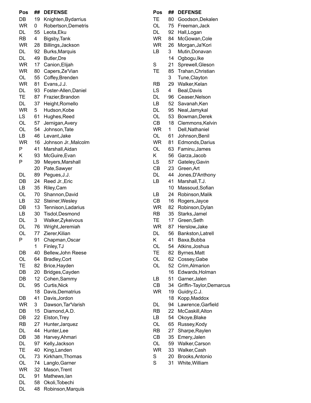| Pos<br>DB | ##<br>19 | <b>DEFENSE</b>                             |
|-----------|----------|--------------------------------------------|
| <b>WR</b> | 0        | Knighten, Bydarrius<br>Robertson, Demetris |
| DL        | 55       | Leota, Eku                                 |
| RB        | 4        | Bigsby, Tank                               |
| WR        | 28       | Billings, Jackson                          |
| DL        | 92       | Burks, Marquis                             |
| DL        | 49       | <b>Butler, Dre</b>                         |
| WR        | 17       | Canion, Elijah                             |
| <b>WR</b> | 80       | Capers, Ze'Vian                            |
| OL        | 55       | Coffey, Brenden                            |
| <b>WR</b> | 81       | Evans, J.J.                                |
| DL        | 93       | Foster-Allen, Daniel                       |
| TE        | 87       | Frazier, Brandon                           |
| DL        | 37       | Height, Romello                            |
| WR        | 5        | Hudson, Kobe                               |
| LS        | 61       | Hughes, Reed                               |
| OL        | 57       | Jernigan, Avery                            |
| OL        | 54       | Johnson, Tate                              |
| LВ        | 46       | Levant, Jake                               |
| WR        | 16       | Johnson Jr., Malcolm                       |
| Ρ         | 41       | Marshall, Aidan                            |
| Κ         | 93       | McGuire, Evan                              |
| P         | 39       | Meyers, Marshall                           |
|           | 20       | Pate,Sawyer                                |
| DL        | 89       | Pegues, J.J.                               |
| DB        | 24       | Reed Jr., Eric                             |
| LВ        | 35       | Riley, Cam                                 |
| OL        | 70       | Shannon, David                             |
| LВ        | 32       | Steiner, Wesley                            |
| DB        | 13       | Tennison, Ladarius                         |
| LΒ        | 30       | Tisdol, Desmond                            |
| DL        | 3        | Walker, Zykeivous                          |
| DL        | 76       | Wright, Jeremiah                           |
| OL        | 77       | Zierer, Kilian                             |
| Ρ         | 91       | Chapman, Oscar                             |
|           | 1        | Finley, TJ                                 |
| DB        | 40       | Bellew, John Reese                         |
| OL        | 64       | Bradley, Cort                              |
| TE        | 82       | Brice, Hayden                              |
| DB        | 20       | Bridges, Cayden                            |
| DB        | 12       | Cohen, Sammy                               |
| DL        | 95       | Curtis, Nick                               |
|           | 18       | Davis, Dematrius                           |
| DB        | 41       | Davis, Jordon                              |
| WR        | 3        | Dawson, Tar'Varish                         |
| DB        | 15       | Diamond, A.D.                              |
| DB        | 22       | Elston, Trey                               |
| RB        | 27       | Hunter, Jarquez                            |
| DL        | 44       | Hunter,Lee                                 |
| DB        | 38       | Harvey, Ahmari                             |
| DL        | 97       | Kelly, Jackson                             |
| TE        | 40       | King, Landen                               |
| OL        | 73       | Kirkham, Thomas                            |
| OL        | 74       | Langlo, Garner                             |
| WR        | 32       | Mason, Trent                               |
| DL        | 91       | Mathews, lan                               |
| DL        | 58       | Okoli, Tobechi                             |
| DL        | 48       | Robinson, Marquis                          |

| Pos       | ## | <b>DEFENSE</b>           |
|-----------|----|--------------------------|
| TЕ        | 80 | Goodson, Dekalen         |
| OL        | 75 | Freeman, Jack            |
| DL        | 92 | Hall, Logan              |
| <b>WR</b> | 84 | McGowan, Cole            |
| WR        | 26 | Morgan, Ja'Kori          |
| LВ        | 3  | Mutin, Donavan           |
|           | 14 | Ogbogu, Ike              |
| S         | 21 | Sprewell, Gleson         |
| TE        | 85 | Trahan, Christian        |
|           | 3  | Tune, Clayton            |
| RB        | 29 | Walker, Kelan            |
| LS        | 4  | Beal, Davis              |
| DL        | 96 | Ceaser, Nelson           |
| LB        | 52 | Savanah, Ken             |
| DL        | 95 | Neal, Jamykal            |
| OL        | 53 | Bowman, Derek            |
| СB        | 18 | Clemmons, Kelvin         |
| WR        | 1  | Dell, Nathaniel          |
| OL        |    | Johnson, Benil           |
| WR        | 61 |                          |
|           | 81 | Edmonds, Darius          |
| OL        | 63 | Faminu, James            |
| Κ         | 56 | Garza, Jacob             |
| LS        | 57 | Gateley, Gavin           |
| CB        | 23 | Green, Art               |
| DL        | 44 | Jones, D'Anthony         |
| LB        | 41 | Marshall, T.J.           |
|           | 10 | Massoud, Sofian          |
| LB        | 24 | Robinson, Malik          |
| СB        | 16 | Rogers, Jayce            |
| <b>WR</b> | 82 | Robinson, Dylan          |
| <b>RB</b> | 35 | Starks, Jamel            |
| TЕ        | 17 | Green, Seth              |
| <b>WR</b> | 87 | Herslow, Jake            |
| DL        | 56 | Bankston, Latrell        |
| K         | 41 | Baxa, Bubba              |
| OL        | 54 | Atkins, Joshua           |
| ТE        | 82 | Byrnes, Matt             |
| OL        | 62 | Cossey, Gabe             |
| OL        | 52 | Crim, Almarion           |
|           | 16 | Edwards, Holman          |
| LВ        | 51 | Garner, Jalen            |
| СB        | 34 | Griffin-Taylor, Demarcus |
| WR        | 19 | Guidry, C.J.             |
|           | 18 | Kopp, Maddox             |
| DL        | 94 | Lawrence, Garfield       |
| RB        | 22 | McCaskill, Alton         |
| LВ        | 54 | Okoye, Blake             |
| OL        | 65 | Russey, Kody             |
| RB        | 27 | Sharpe, Raylen           |
| СB        | 35 | Emery, Jalen             |
| OL        | 59 | Walker, Carson           |
| <b>WR</b> | 33 | Walker, Cash             |
| S         | 20 | Brooks, Antonio          |
|           |    |                          |

S 3 1 W hit e,Willia m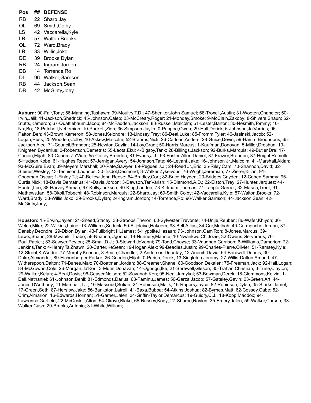| Pos | ## | <b>DEFENSE</b>   |
|-----|----|------------------|
| RB  | 22 | Sharp, Jay       |
| OL  | 69 | Smith, Colby     |
| l S | 42 | Vaccarella, Kyle |
| l B | 57 | Walton, Brooks   |
| OL  | 72 | Ward, Brady      |
| LВ  | 33 | Willis, Joko     |
| DF  | 39 | Brooks, Dylan    |
| RB  | 24 | Ingram, Jordon   |
| DB  | 14 | Torrence, Ro     |
| DL  | 96 | Walker.Garrison  |
| RB  | 44 | Jackson, Sean    |
| DB  | 42 | McGinty, Joey    |
|     |    |                  |

**Auburn:** 90-Fair,Tony; 56-Manning,Tashawn; 99-Moultry,T.D.; 47-Shenker,John Samuel; 68-Troxell,Austin; 31-Wooten,Chandler; 50- Irvin,Jalil; 11-Jackson,Shedrick; 45-Johnson,Caleb; 23-McCreary,Roger; 21-Monday,Smoke; 9-McClain,Zakoby; 8-Shivers,Shaun; 62- Stutts,Kameron; 67-Quattlebaum,Jacob; 84-McFadden,Jackson; 83-Russell,Malcolm; 51-Lester,Barton; 30-Nesmith,Tommy; 10- Nix,Bo; 18-Pritchett,Nehemiah; 10-Puckett,Zion; 36-Simpson,Jaylin; 0-Pappoe,Owen; 29-Hall,Derick; 6-Johnson,Ja'Varrius; 96- Patton,Ben; 43-Brown,Kameron; 58-Jones,Keiondre; 13-Lindsey,Trey; 86-Deal,Luke; 85-Fromm,Tyler; 46-Jasinski,Jacob; 52- Logan,Russ; 25-Wooden,Colby; 16-Askew,Malcolm; 52-Brahms,Nick; 26-Carlson,Anders; 28-Guice,Devin; 59-Hamm,Brodarious; 65- Jackson,Alec; 71-Council,Brandon; 25-Newton,Caylin; 14-Loy,Grant; 50-Harris,Marcus; 1-Kaufman,Donovan; 5-Miller,Dreshun; 19- Knighten,Bydarrius; 0-Robertson,Demetris; 55-Leota,Eku; 4-Bigsby,Tank; 28-Billings,Jackson; 92-Burks,Marquis; 49-Butler,Dre; 17- Canion,Elijah; 80-Capers,Ze'Vian; 55-Coffey,Brenden; 81-Evans,J.J.; 93-Foster-Allen,Daniel; 87-Frazier,Brandon; 37-Height,Romello; 5-Hudson,Kobe; 61-Hughes,Reed; 57-Jernigan,Avery; 54-Johnson,Tate; 46-Levant,Jake; 16-Johnson Jr.,Malcolm; 41-Marshall,Aidan; 93-McGuire,Evan; 39-Meyers,Marshall; 20-Pate,Sawyer; 89-Pegues,J.J.; 24-Reed Jr.,Eric; 35-Riley,Cam; 70-Shannon,David; 32- Steiner,Wesley; 13-Tennison,Ladarius; 30-Tisdol,Desmond; 3-Walker,Zykeivous; 76-Wright,Jeremiah; 77-Zierer,Kilian; 91- Chapman,Oscar; 1-Finley,TJ; 40-Bellew,John Reese; 64-Bradley,Cort; 82-Brice,Hayden; 20-Bridges,Cayden; 12-Cohen,Sammy; 95- Curtis,Nick; 18-Davis,Dematrius; 41-Davis,Jordon; 3-Dawson,Tar'Varish; 15-Diamond,A.D.; 22-Elston,Trey; 27-Hunter,Jarquez; 44- Hunter,Lee; 38-Harvey,Ahmari; 97-Kelly,Jackson; 40-King,Landen; 73-Kirkham,Thomas; 74-Langlo,Garner; 32-Mason,Trent; 91- Mathews,Ian; 58-Okoli,Tobechi; 48-Robinson,Marquis; 22-Sharp,Jay; 69-Smith,Colby; 42-Vaccarella,Kyle; 57-Walton,Brooks; 72- Ward,Brady; 33-Willis,Joko; 39-Brooks,Dylan; 24-Ingram,Jordon; 14-Torrence,Ro; 96-Walker,Garrison; 44-Jackson,Sean; 42- McGinty,Joey;

**Houston:** 15-Erwin,Jaylen; 21-Sneed,Stacey; 38-Stroops,Theron; 60-Sylvester,Trevonte; 74-Unije,Reuben; 86-Wafer,Khiyon; 36- Welch,Mike; 22-Wilkins,Laine; 13-Williams,Sedrick; 50-Ajijolaiya,Hakeem; 93-Bell,Atlias; 34-Car,Mulbah; 40-Carmouche,Jordan; 37- Dansby,Deondre; 29-Dixon,Dylan; 43-Fullbright III,James; 5-Hypolite,Hasaan; 73-Johnson,Cam'Ron; 8-Jones,Marcus; 39- Lewis,Shaun; 28-Mwaniki,Thabo; 58-Nnanna,Ugonna; 14-Nunnery,Mannie; 10-Nwankwo,Chidozie; 32-Owens,Gervarrius; 76- Paul,Patrick; 83-Sawyer,Peyton; 25-Small,D.J.; 9-Stewart,JoVanni; 79-Todd,Chayse; 33-Vaughan,Garrison; 6-Williams,Damarion; 72- Jenkins,Tank; 4-Henry,Ta'Zhawn; 20-Carter,KeSean; 19-Hogan,Alex; 99-Beadles,Justin; 99-Charles-Pierre,Olivier; 51-Ramsey,Kyle; 12-Street,Ke'Andre; 77-Murphy,Keenan; 8-Smith,Chandler; 2-Anderson,Deontay; 12-Anenih,David; 64-Bardwell,Dennis; 30- Duke,Alexander; 89-Eichenberger,Parker; 26-Gooden,Elijah; 0-Parish,Derek; 13-Singleton,Jeremy; 27-Willis-Dalton,Amaud; 47- Witherspoon,Dalton; 71-Banes,Max; 70-Boatman,Jordan; 88-Creamer,Shane; 80-Goodson,Dekalen; 75-Freeman,Jack; 92-Hall,Logan; 84-McGowan,Cole; 26-Morgan,Ja'Kori; 3-Mutin,Donavan; 14-Ogbogu,Ike; 21-Sprewell,Gleson; 85-Trahan,Christian; 3-Tune,Clayton; 29-Walker,Kelan; 4-Beal,Davis; 96-Ceaser,Nelson; 52-Savanah,Ken; 95-Neal,Jamykal; 53-Bowman,Derek; 18-Clemmons,Kelvin; 1- Dell,Nathaniel; 61-Johnson,Benil; 81-Edmonds,Darius; 63-Faminu,James; 56-Garza,Jacob; 57-Gateley,Gavin; 23-Green,Art; 44- Jones,D'Anthony; 41-Marshall,T.J.; 10-Massoud,Sofian; 24-Robinson,Malik; 16-Rogers,Jayce; 82-Robinson,Dylan; 35-Starks,Jamel; 17-Green,Seth; 87-Herslow,Jake; 56-Bankston,Latrell; 41-Baxa,Bubba; 54-Atkins,Joshua; 82-Byrnes,Matt; 62-Cossey,Gabe; 52- Crim,Almarion; 16-Edwards,Holman; 51-Garner,Jalen; 34-Griffin-Taylor,Demarcus; 19-Guidry,C.J.; 18-Kopp,Maddox; 94- Lawrence,Garfield; 22-McCaskill,Alton; 54-Okoye,Blake; 65-Russey,Kody; 27-Sharpe,Raylen; 35-Emery,Jalen; 59-Walker,Carson; 33- Walker,Cash; 20-Brooks,Antonio; 31-White,William;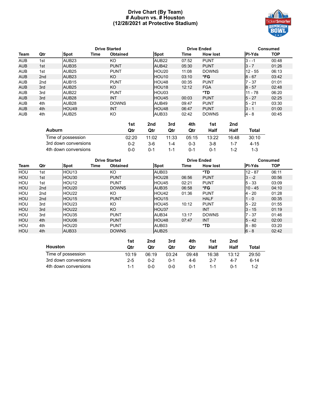#### **Drive Chart (By Team) # Auburn vs. # Houston (12/28/2021 at Protective Stadium)**



|            | <b>Drive Started</b> |                   |      |                 |                   | <b>Drive Ended</b> |                 | Consumed      |            |
|------------|----------------------|-------------------|------|-----------------|-------------------|--------------------|-----------------|---------------|------------|
| Team       | Qtr                  | <b>Spot</b>       | Time | <b>Obtained</b> | Spot              | Time               | <b>How lost</b> | <b>PI-Yds</b> | <b>TOP</b> |
| <b>AUB</b> | 1st                  | AUB <sub>23</sub> |      | KO              | AUB <sub>22</sub> | 07:52              | <b>PUNT</b>     | $3 - -1$      | 00:48      |
| <b>AUB</b> | 1st                  | AUB <sub>35</sub> |      | <b>PUNT</b>     | AUB42             | 05:30              | <b>PUNT</b>     | $3 - 7$       | 01:26      |
| <b>AUB</b> | 1st                  | AUB <sub>25</sub> |      | <b>PUNT</b>     | HOU <sub>20</sub> | 11:08              | <b>DOWNS</b>    | $12 - 55$     | 06:13      |
| <b>AUB</b> | 2 <sub>nd</sub>      | AUB <sub>23</sub> |      | KO              | <b>HOU10</b>      | 03:10              | *FG             | $8 - 67$      | 03:42      |
| <b>AUB</b> | 2 <sub>nd</sub>      | AUB <sub>15</sub> |      | <b>PUNT</b>     | <b>HOU48</b>      | 00:35              | <b>PUNT</b>     | $7 - 37$      | 01:01      |
| <b>AUB</b> | 3rd                  | AUB <sub>25</sub> |      | KO.             | <b>HOU18</b>      | 12:12              | <b>FGA</b>      | $8 - 57$      | 02:48      |
| <b>AUB</b> | 3rd                  | AUB <sub>22</sub> |      | <b>PUNT</b>     | <b>HOU03</b>      |                    | *TD             | $11 - 78$     | 06:20      |
| <b>AUB</b> | 3rd                  | AUB <sub>28</sub> |      | <b>INT</b>      | <b>HOU45</b>      | 00:03              | <b>PUNT</b>     | $5 - 27$      | 02:25      |
| <b>AUB</b> | 4th                  | AUB <sub>28</sub> |      | <b>DOWNS</b>    | AUB49             | 09:47              | <b>PUNT</b>     | $5 - 21$      | 03:30      |
| <b>AUB</b> | 4th                  | <b>HOU49</b>      |      | <b>INT</b>      | <b>HOU48</b>      | 06:47              | <b>PUNT</b>     | $3 - 1$       | 01:00      |
| <b>AUB</b> | 4th                  | AUB <sub>25</sub> |      | KO              | AUB33             | 02:42              | <b>DOWNS</b>    | $4 - 8$       | 00:45      |

|                      | 1st   | 2nd   | 3rd     | 4th   | 1st   | 2nd     |          |
|----------------------|-------|-------|---------|-------|-------|---------|----------|
| <b>Auburn</b>        | Qtr   | Otr   | Qtr     | Qtr   | Half  | Half    | Total    |
| Time of possession   | 02:20 | 11:02 | 11:33   | 05:15 | 13:22 | 16:48   | 30:10    |
| 3rd down conversions | 0-2   | 3-6   | $1 - 4$ | 0-3   | 3-8   |         | $4 - 15$ |
| 4th down conversions | 0-0   | በ-1   | 1-1     | 0-1   | 0-1   | $1 - 2$ | 1-3      |

|            | <b>Drive Started</b> |                   |      |                 |       | <b>Drive Ended</b> | <b>Consumed</b> |                 |       |               |            |
|------------|----------------------|-------------------|------|-----------------|-------|--------------------|-----------------|-----------------|-------|---------------|------------|
| Team       | Qtr                  | <b>Spot</b>       | Time | <b>Obtained</b> |       | <b>Spot</b>        | Time            | <b>How lost</b> |       | <b>PI-Yds</b> | <b>TOP</b> |
| HOU        | 1st                  | HOU <sub>13</sub> |      | KO.             |       | AUB03              |                 | *TD             |       | $12 - 87$     | 06:11      |
| <b>HOU</b> | 1st                  | HOU30             |      | <b>PUNT</b>     |       | HOU28              | 06:56           | <b>PUNT</b>     |       | $3 - -2$      | 00:56      |
| HOU        | 1st                  | HOU <sub>12</sub> |      | <b>PUNT</b>     |       | HOU45              | 02:21           | <b>PUNT</b>     |       | $5 - 33$      | 03:09      |
| <b>HOU</b> | 2 <sub>nd</sub>      | HOU <sub>20</sub> |      | <b>DOWNS</b>    |       | AUB35              | 06:58           | *FG             |       | $10 - 45$     | 04:10      |
| HOU        | 2 <sub>nd</sub>      | HOU22             |      | KO.             |       | HOU42              | 01:36           | <b>PUNT</b>     |       | $4 - 20$      | 01:28      |
| <b>HOU</b> | 2 <sub>nd</sub>      | HOU <sub>15</sub> |      | <b>PUNT</b>     |       | HOU15              |                 | <b>HALF</b>     |       | $1 - 0$       | 00:35      |
| HOU        | 3rd                  | HOU <sub>23</sub> |      | KO.             |       | HOU45              | 10:12           | <b>PUNT</b>     |       | $5 - 22$      | 01:55      |
| <b>HOU</b> | 3rd                  | HOU22             |      | KO.             |       | HOU37              |                 | <b>INT</b>      |       | $3 - 15$      | 01:19      |
| HOU        | 3rd                  | HOU35             |      | <b>PUNT</b>     |       | AUB34              | 13:17           | <b>DOWNS</b>    |       | $7 - 37$      | 01:46      |
| <b>HOU</b> | 4th                  | HOU06             |      | <b>PUNT</b>     |       | HOU48              | 07:47           | <b>INT</b>      |       | $5 - 42$      | 02:00      |
| HOU        | 4th                  | HOU <sub>20</sub> |      | <b>PUNT</b>     |       | AUB03              |                 | *TD             |       | $8 - 80$      | 03:20      |
| <b>HOU</b> | 4th                  | AUB33             |      | <b>DOWNS</b>    |       | AUB <sub>25</sub>  |                 |                 |       | $6 - 8$       | 02:42      |
|            |                      |                   |      | $4 - 4$         | $2-1$ | المعاد             | <b>A4L</b>      | $4 - 4$         | $2-1$ |               |            |

|                      | 1st     | 2nd     | 3rd     | 4th   | 1st     | 2nd   |          |
|----------------------|---------|---------|---------|-------|---------|-------|----------|
| <b>Houston</b>       | Qtr     | Qtr     | Qtr     | Qtr   | Half    | Half  | Total    |
| Time of possession   | 10:19   | 06:19   | 03:24   | 09:48 | 16:38   | 13:12 | 29:50    |
| 3rd down conversions | $2 - 5$ | $0 - 2$ | በ-1     | 4-6   | $2 - 7$ | 4-7   | $6 - 14$ |
| 4th down conversions | 1_1     | ი-ი     | $0 - 0$ | 0-1   | 1_1     | በ-1   | 1-2      |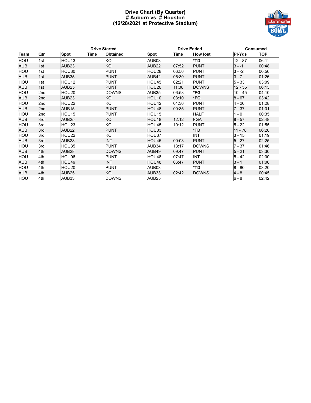#### **Drive Chart (By Quarter) # Auburn vs. # Houston (12/28/2021 at Protective Stadium)**



|            |                 |                   |      | <b>Drive Started</b> |                   |       | <b>Drive Ended</b> |               | <b>Consumed</b> |
|------------|-----------------|-------------------|------|----------------------|-------------------|-------|--------------------|---------------|-----------------|
| Team       | Qtr             | <b>Spot</b>       | Time | <b>Obtained</b>      | <b>Spot</b>       | Time  | <b>How lost</b>    | <b>PI-Yds</b> | <b>TOP</b>      |
| HOU        | 1st             | HOU13             |      | KO                   | AUB03             |       | *TD                | $12 - 87$     | 06:11           |
| <b>AUB</b> | 1st             | AUB <sub>23</sub> |      | KO                   | AUB <sub>22</sub> | 07:52 | <b>PUNT</b>        | $3 - -1$      | 00:48           |
| HOU        | 1st             | HOU30             |      | <b>PUNT</b>          | HOU28             | 06:56 | <b>PUNT</b>        | $3 - -2$      | 00:56           |
| <b>AUB</b> | 1st             | AUB35             |      | <b>PUNT</b>          | AUB42             | 05:30 | <b>PUNT</b>        | $3 - 7$       | 01:26           |
| HOU        | 1st             | HOU <sub>12</sub> |      | <b>PUNT</b>          | HOU45             | 02:21 | <b>PUNT</b>        | $5 - 33$      | 03:09           |
| <b>AUB</b> | 1st             | AUB <sub>25</sub> |      | <b>PUNT</b>          | HOU20             | 11:08 | <b>DOWNS</b>       | $12 - 55$     | 06:13           |
| HOU        | 2nd             | HOU20             |      | <b>DOWNS</b>         | AUB35             | 06:58 | *FG                | $10 - 45$     | 04:10           |
| <b>AUB</b> | 2 <sub>nd</sub> | AUB <sub>23</sub> |      | KO                   | HOU10             | 03:10 | *FG                | $8 - 67$      | 03:42           |
| HOU        | 2nd             | HOU22             |      | KO                   | HOU42             | 01:36 | <b>PUNT</b>        | $4 - 20$      | 01:28           |
| <b>AUB</b> | 2 <sub>nd</sub> | AUB <sub>15</sub> |      | <b>PUNT</b>          | HOU48             | 00:35 | <b>PUNT</b>        | $7 - 37$      | 01:01           |
| HOU        | 2nd             | HOU15             |      | <b>PUNT</b>          | HOU15             |       | <b>HALF</b>        | $1 - 0$       | 00:35           |
| <b>AUB</b> | 3rd             | AUB <sub>25</sub> |      | KO                   | HOU18             | 12:12 | <b>FGA</b>         | $8 - 57$      | 02:48           |
| HOU        | 3rd             | HOU23             |      | KO                   | HOU45             | 10:12 | <b>PUNT</b>        | $5 - 22$      | 01:55           |
| <b>AUB</b> | 3rd             | AUB <sub>22</sub> |      | <b>PUNT</b>          | HOU03             |       | *TD                | $11 - 78$     | 06:20           |
| HOU        | 3rd             | HOU22             |      | KO                   | HOU37             |       | <b>INT</b>         | $3 - 15$      | 01:19           |
| <b>AUB</b> | 3rd             | AUB <sub>28</sub> |      | <b>INT</b>           | HOU45             | 00:03 | <b>PUNT</b>        | $5 - 27$      | 02:25           |
| HOU        | 3rd             | HOU35             |      | <b>PUNT</b>          | AUB34             | 13:17 | <b>DOWNS</b>       | $7 - 37$      | 01:46           |
| <b>AUB</b> | 4th             | AUB <sub>28</sub> |      | <b>DOWNS</b>         | AUB49             | 09:47 | <b>PUNT</b>        | $5 - 21$      | 03:30           |
| HOU        | 4th             | HOU06             |      | <b>PUNT</b>          | HOU48             | 07:47 | <b>INT</b>         | $5 - 42$      | 02:00           |
| <b>AUB</b> | 4th             | HOU49             |      | <b>INT</b>           | HOU48             | 06:47 | <b>PUNT</b>        | $3 - 1$       | 01:00           |
| HOU        | 4th             | HOU20             |      | <b>PUNT</b>          | AUB03             |       | *TD                | $8 - 80$      | 03:20           |
| <b>AUB</b> | 4th             | AUB <sub>25</sub> |      | KO                   | AUB33             | 02:42 | <b>DOWNS</b>       | $4 - 8$       | 00:45           |
| HOU        | 4th             | AUB33             |      | <b>DOWNS</b>         | AUB <sub>25</sub> |       |                    | $6 - 8$       | 02:42           |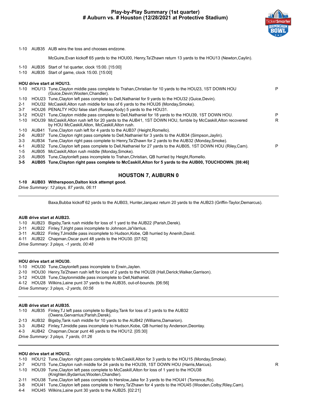#### **Play-by-Play Summary (1st quarter) # Auburn vs. # Houston (12/28/2021 at Protective Stadium)**



#### 1-10 AUB35 AUB wins the toss and chooses endzone.

McGuire,Evan kickoff 65 yards to the HOU00, Henry,Ta'Zhawn return 13 yards to the HOU13 (Newton,Caylin).

- 1-10 AUB35 Start of 1st quarter, clock 15:00. [15:00]
- 1-10 AUB35 Start of game, clock 15:00. [15:00]

#### **HOU drive start at HOU13.**

|          |       | 1-10 HOU13 Tune, Clayton middle pass complete to Trahan, Christian for 10 yards to the HOU23, 1ST DOWN HOU<br>(Guice, Devin; Wooten, Chandler).                   | P |
|----------|-------|-------------------------------------------------------------------------------------------------------------------------------------------------------------------|---|
| 1-10     |       | HOU23 Tune, Clayton left pass complete to Dell, Nathaniel for 9 yards to the HOU32 (Guice, Devin).                                                                |   |
| $2 - 1$  |       | HOU32 McCaskill, Alton rush middle for loss of 6 yards to the HOU26 (Monday, Smoke).                                                                              |   |
| $3 - 7$  |       | HOU26 PENALTY HOU false start (Russey, Kody) 5 yards to the HOU31.                                                                                                |   |
| $3 - 12$ |       | HOU21 Tune, Clayton middle pass complete to Dell, Nathaniel for 18 yards to the HOU39, 1ST DOWN HOU.                                                              | P |
| $1 - 10$ |       | HOU39 McCaskill, Alton rush left for 20 yards to the AUB41, 1ST DOWN HOU, fumble by McCaskill, Alton recovered<br>by HOU McCaskill, Alton, McCaskill, Alton rush. | R |
| $1 - 10$ |       | AUB41 Tune, Clayton rush left for 4 yards to the AUB37 (Height, Romello).                                                                                         |   |
| 2-6      | AUB37 | Tune, Clayton right pass complete to Dell, Nathaniel for 3 yards to the AUB34 (Simpson, Jaylin).                                                                  |   |
| $3 - 3$  | AUB34 | Tune, Clayton right pass complete to Henry, Ta'Zhawn for 2 yards to the AUB32 (Monday, Smoke).                                                                    |   |
| 4-1      | AUB32 | Tune, Clayton left pass complete to Dell, Nathaniel for 27 yards to the AUB05, 1ST DOWN HOU (Riley, Cam).                                                         | P |
| 1-5      | AUB05 | McCaskill, Alton rush middle (Monday, Smoke).                                                                                                                     |   |
| $2 - 5$  | AUB05 | Tune, Clayton left pass incomplete to Trahan, Christian, QB hurried by Height, Romello.                                                                           |   |
| $3 - 5$  |       | AUB05 Tune, Clayton right pass complete to McCaskill, Alton for 5 yards to the AUB00, TOUCHDOWN. [08:46]                                                          |   |
|          |       | $\overline{11}$ $\overline{11}$ $\overline{11}$ $\overline{11}$ $\overline{11}$ $\overline{11}$ $\overline{11}$ $\overline{11}$ $\overline{11}$ $\overline{11}$   |   |

#### **HOUSTON 7, AUBURN 0**

#### **1-10 AUB03 Witherspoon,Dalton kick attempt good.**

*Drive Summary: 12 plays, 87 yards, 06:11*

Baxa,Bubba kickoff 62 yards to the AUB03, Hunter,Jarquez return 20 yards to the AUB23 (Griffin-Taylor,Demarcus).

#### **AUB drive start at AUB23.**

1-10 AUB23 Bigsby,Tank rush middle for loss of 1 yard to the AUB22 (Parish,Derek).

- 2-11 AUB22 Finley,TJright pass incomplete to Johnson,Ja'Varrius.
- 3-11 AUB22 Finley,TJmiddle pass incomplete to Hudson,Kobe, QB hurried by Anenih,David.
- 4-11 AUB22 Chapman,Oscar punt 48 yards to the HOU30. [07:52]

*Drive Summary: 3 plays, -1 yards, 00:48*

#### **HOU drive start at HOU30.**

1-10 HOU30 Tune,Claytonleft pass incomplete to Erwin,Jaylen.

- 2-10 HOU30 Henry,Ta'Zhawn rush left for loss of 2 yards to the HOU28 (Hall,Derick;Walker,Garrison).
- 3-12 HOU28 Tune,Claytonmiddle pass incomplete to Dell,Nathaniel.
- 4-12 HOU28 Wilkins,Laine punt 37 yards to the AUB35, out-of-bounds. [06:56]

*Drive Summary: 3 plays, -2 yards, 00:56*

#### **AUB drive start at AUB35.**

1-10 AUB35 Finley,TJ left pass complete to Bigsby,Tank for loss of 3 yards to the AUB32 (Owens,Gervarrius;Parish,Derek). 2-13 AUB32 Bigsby,Tank rush middle for 10 yards to the AUB42 (Williams,Damarion). 3-3 AUB42 Finley,TJmiddle pass incomplete to Hudson,Kobe, QB hurried by Anderson,Deontay.

4-3 AUB42 Chapman,Oscar punt 46 yards to the HOU12. [05:30]

*Drive Summary: 3 plays, 7 yards, 01:26*

#### **HOU drive start at HOU12.**

- 1-10 HOU12 Tune,Clayton right pass complete to McCaskill,Alton for 3 yards to the HOU15 (Monday,Smoke).
- 2-7 HOU15 Tune, Clayton rush middle for 24 yards to the HOU39, 1ST DOWN HOU (Harris, Marcus).
- 1-10 HOU39 Tune,Clayton left pass complete to McCaskill,Alton for loss of 1 yard to the HOU38 (Knighten,Bydarrius;Wooten,Chandler).
- 2-11 HOU38 Tune,Clayton left pass complete to Herslow,Jake for 3 yards to the HOU41 (Torrence,Ro).
- 3-8 HOU41 Tune,Clayton left pass complete to Henry,Ta'Zhawn for 4 yards to the HOU45 (Wooden,Colby;Riley,Cam).
- 4-4 HOU45 Wilkins,Laine punt 30 yards to the AUB25. [02:21]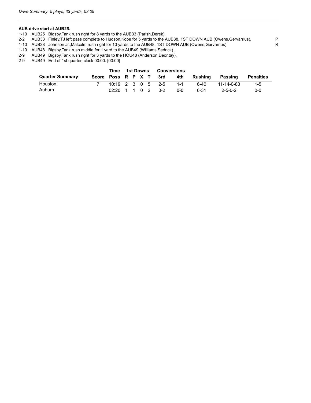#### **AUB drive start at AUB25.**

- 1-10 AUB25 Bigsby,Tank rush right for 8 yards to the AUB33 (Parish,Derek).
- 2-2 AUB33 Finley,TJ left pass complete to Hudson,Kobe for 5 yards to the AUB38, 1ST DOWN AUB (Owens,Gervarrius). P<br>1-10 AUB38 Johnson Jr.,Malcolm rush right for 10 yards to the AUB48, 1ST DOWN AUB (Owens,Gervarrius). R
- 1-10 AUB38 Johnson Jr.,Malcolm rush right for 10 yards to the AUB48, 1ST DOWN AUB (Owens,Gervarrius). R
- 1-10 AUB48 Bigsby,Tank rush middle for 1 yard to the AUB49 (Williams,Sedrick).
- AUB49 Bigsby, Tank rush right for 3 yards to the HOU48 (Anderson, Deontay).
- 2-9 AUB49 End of 1st quarter, clock 00:00. [00:00]

|                        | Time                                              |  |  | 1st Downs Conversions |         |                                    |                 |           |
|------------------------|---------------------------------------------------|--|--|-----------------------|---------|------------------------------------|-----------------|-----------|
| <b>Quarter Summary</b> |                                                   |  |  |                       |         | Score Poss R P X T 3rd 4th Rushing | Passing         | Penalties |
| Houston                |                                                   |  |  | 10:19 2 3 0 5 2-5     | $1 - 1$ | 6-40                               | 11-14-0-83      | $-1-5$    |
| Auburn                 | $02:20 \quad 1 \quad 1 \quad 0 \quad 2 \quad 0-2$ |  |  |                       | ი-ი     | 6-31                               | $2 - 5 - 0 - 2$ | $0 - 0$   |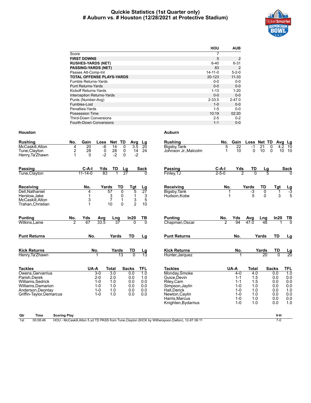#### **Quickie Statistics (1st Quarter only) # Auburn vs. # Houston (12/28/2021 at Protective Stadium)**



|                                   | HOU           | <b>AUB</b>  |
|-----------------------------------|---------------|-------------|
| Score                             | 7             |             |
| <b>FIRST DOWNS</b>                | 5             | 2           |
| <b>RUSHES-YARDS (NET)</b>         | $6 - 40$      | $6 - 31$    |
| <b>PASSING-YARDS (NET)</b>        | 83            | 2           |
| Passes Att-Comp-Int               | $14 - 11 - 0$ | $5 - 2 - 0$ |
| <b>TOTAL OFFENSE PLAYS-YARDS</b>  | 20-123        | $11 - 33$   |
| <b>Fumble Returns-Yards</b>       | $0 - 0$       | $0-0$       |
| <b>Punt Returns-Yards</b>         | $0 - 0$       | $0 - 0$     |
| Kickoff Returns-Yards             | $1 - 13$      | $1 - 20$    |
| <b>Interception Returns-Yards</b> | $0 - 0$       | $0 - 0$     |
| Punts (Number-Avg)                | $2 - 33.5$    | $2 - 47.0$  |
| Fumbles-Lost                      | $1 - 0$       | $0 - 0$     |
| Penalties-Yards                   | $1 - 5$       | $0 - 0$     |
| Possession Time                   | 10:19         | 02:20       |
| <b>Third-Down Conversions</b>     | $2 - 5$       | $0 - 2$     |
| <b>Fourth-Down Conversions</b>    | $1 - 1$       | $0 - 0$     |

| <b>Rushing</b><br>McCaskill.Alton<br>Tune, Clayton<br>Henry, Ta'Zhawn                                                                         | Gain<br>Net TD<br><b>Rushing</b><br>No.<br>Loss<br>Avg Lg<br>$-6$<br>$\overline{0}$<br>20<br>3.5<br>4<br>$\overline{14}$<br>$\overline{20}$<br>Bigsby, Tank<br>$\ddot{\mathbf{0}}$<br>$28 - 2$<br>$\overline{\mathbf{c}}$<br>28<br>14<br>24<br>$\boldsymbol{0}$<br>Johnson Jr. Malcolm<br>$-2$<br>$\mathbf 1$<br>$\Omega$<br>$-2$<br>$\Omega$                                                                             | No.<br>Gain<br>Loss Net TD<br>Avg Lg<br>5<br>$\overline{22}$<br>21<br>10<br>$-1$<br>0<br>4.2<br>10<br>$\mathbf{0}$<br>$\mathbf 0$<br>10<br>10 10                                                                                                                                                                        |
|-----------------------------------------------------------------------------------------------------------------------------------------------|---------------------------------------------------------------------------------------------------------------------------------------------------------------------------------------------------------------------------------------------------------------------------------------------------------------------------------------------------------------------------------------------------------------------------|-------------------------------------------------------------------------------------------------------------------------------------------------------------------------------------------------------------------------------------------------------------------------------------------------------------------------|
| Passing<br>Tune, Clayton                                                                                                                      | $C-A-I$<br>TD<br>Yds<br>Sack<br>Passing<br>Lg<br>83<br>27<br>$11 - 14 - 0$<br>Finley, TJ                                                                                                                                                                                                                                                                                                                                  | $C-A-I$<br>Yds<br>TD<br><b>Sack</b><br>Lg<br>2<br>$2 - 5 - 0$<br>$\overline{0}$<br>5                                                                                                                                                                                                                                    |
| Receiving<br>Dell.Nathaniel<br>Herslow, Jake<br>McCaskill, Alton<br>Trahan, Christian                                                         | Yards<br>TD<br>No.<br>Receiving<br>Tgt<br>$\frac{Lg}{27}$<br>5<br>57<br>$\overline{0}$<br>Bigsby, Tank<br>4<br>$\frac{3}{7}$<br>$\mathbf{1}$<br>0<br>3<br>Hudson.Kobe<br>$\frac{3}{2}$<br>5<br>3<br>$\mathbf{1}$<br>10<br>1<br>$\Omega$<br>10                                                                                                                                                                             | TD<br>No.<br>Yards<br>Tgt<br>$\frac{Lg}{-3}$<br>$-3$<br>0<br>1<br>5<br>3<br>5<br>$\Omega$                                                                                                                                                                                                                               |
| <b>Punting</b><br>Wilkins, Laine                                                                                                              | Yds<br>In20<br>TВ<br><b>Punting</b><br>No.<br>Lng<br>Avg<br>70<br>$\overline{2}$<br>67<br>33.5<br>37<br>Chapman, Oscar<br>$\Omega$                                                                                                                                                                                                                                                                                        | No.<br>In20<br>Yds<br>Avg<br>$\frac{TB}{0}$<br>Lng<br>$\overline{2}$<br>94<br>47.0<br>48                                                                                                                                                                                                                                |
| <b>Punt Returns</b>                                                                                                                           | No.<br><b>TD</b><br><b>Punt Returns</b><br>Yards<br>Lg                                                                                                                                                                                                                                                                                                                                                                    | <b>TD</b><br>No.<br>Yards<br>Lg                                                                                                                                                                                                                                                                                         |
| <b>Kick Returns</b><br>Henry, Ta'Zhawn                                                                                                        | No.<br><b>Kick Returns</b><br>Yards<br>TD<br>Lg<br>13<br>$\overline{0}$<br>13<br>Hunter, Jarquez                                                                                                                                                                                                                                                                                                                          | No.<br>Yards<br>TD<br>$\frac{\text{Lg}}{20}$<br>20<br>$\overline{0}$                                                                                                                                                                                                                                                    |
| <b>Tackles</b><br>Owens.Gervarrius<br>Parish, Derek<br>Williams.Sedrick<br>Williams, Damarion<br>Anderson.Deontav<br>Griffin-Taylor, Demarcus | <b>Tackles</b><br>UA-A<br><b>Total</b><br><b>TFL</b><br><b>Sacks</b><br>3.0<br>0.0<br>$3-0$<br>$\overline{1.0}$<br>Monday, Smoke<br>$2 - 0$<br>2.0<br>0.0<br>1.0<br>Guice.Devin<br>$1 - 0$<br>1.0<br>0.0<br>0.0<br>Riley, Cam<br>0.0<br>$1 - 0$<br>1.0<br>0.0<br>Simpson, Jaylin<br>$1 - 0$<br>1.0<br>0.0<br>0.0<br>Hall Derick<br>1.0<br>$1 - 0$<br>0.0<br>0.0<br>Newton, Caylin<br>Harris.Marcus<br>Knighten, Bydarrius | UA-A<br><b>Total</b><br><b>Sacks</b><br>TFL<br>$\overline{10}$<br>4.0<br>0.0<br>$4 - 0$<br>0.0<br>$1 - 1$<br>1.5<br>0.0<br>0.0<br>1.5<br>0.0<br>$1 - 1$<br>0.0<br>$1 - 0$<br>1.0<br>0.0<br>1.0<br>$1 - 0$<br>0.0<br>1.0<br>0.0<br>0.0<br>$1 - 0$<br>1.0<br>0.0<br>$1 - 0$<br>1.0<br>0.0<br>1.0<br>1.0<br>0.0<br>$1 - 0$ |

| Qtr | Гіmе<br>$\sim$ | Scoring Play                                                                                                                | V-H |
|-----|----------------|-----------------------------------------------------------------------------------------------------------------------------|-----|
| 1st | 00:08:46       | ' TD PASS from<br>ne, Clayton (KICK by Witherspoon, L<br>- McCaskill Alton 5 vd<br>. 12-87 06:1<br>HOU<br>Dalton).<br>Tune. |     |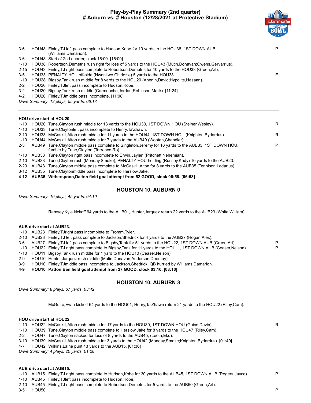#### **Play-by-Play Summary (2nd quarter) # Auburn vs. # Houston (12/28/2021 at Protective Stadium)**



| $3-6$   | HOU48 Finley, TJ left pass complete to Hudson, Kobe for 10 yards to the HOU38, 1ST DOWN AUB<br>(Williams,Damarion). |  |
|---------|---------------------------------------------------------------------------------------------------------------------|--|
| $3-6$   | HOU48 Start of 2nd quarter, clock 15:00. [15:00]                                                                    |  |
|         | 1-10 HOU38 Robertson, Demetris rush right for loss of 5 yards to the HOU43 (Mutin, Donavan; Owens, Gervarrius).     |  |
|         | 2-15 HOU43 Finley, TJ right pass complete to Robertson, Demetris for 10 yards to the HOU33 (Green, Art).            |  |
| $3-5$   | HOU33 PENALTY HOU off-side (Nwankwo Chidozie) 5 yards to the HOU38.                                                 |  |
| 1-10    | HOU28 Bigsby, Tank rush middle for 8 yards to the HOU20 (Anenih, David; Hypolite, Hasaan).                          |  |
| $2 - 2$ | HOU20 Finley, TJ left pass incomplete to Hudson, Kobe.                                                              |  |
| $3-2$   | HOU20 Bigsby, Tank rush middle (Carmouche, Jordan; Robinson, Malik). [11:24]                                        |  |
|         |                                                                                                                     |  |

4-2 HOU20 Finley,TJmiddle pass incomplete. [11:08]

*Drive Summary: 12 plays, 55 yards, 06:13*

#### **HOU drive start at HOU20.**

|         | 1-10 HOU20 Tune, Clayton rush middle for 13 yards to the HOU33, 1ST DOWN HOU (Steiner, Wesley).                                                   | R. |
|---------|---------------------------------------------------------------------------------------------------------------------------------------------------|----|
|         | 1-10 HOU33 Tune, Clayton left pass incomplete to Henry, Ta'Zhawn.                                                                                 |    |
|         | 2-10 HOU33 McCaskill, Alton rush middle for 11 yards to the HOU44, 1ST DOWN HOU (Knighten, Bydarrius).                                            | R. |
|         | 1-10 HOU44 McCaskill, Alton rush middle for 7 yards to the AUB49 (Wooten, Chandler).                                                              |    |
| $2 - 3$ | AUB49 Tune, Clayton middle pass complete to Singleton, Jeremy for 16 yards to the AUB33, 1ST DOWN HOU,<br>fumble by Tune, Clayton (Torrence, Ro). | P  |
|         | 1-10 AUB33 Tune, Clayton right pass incomplete to Erwin, Jaylen (Pritchett, Nehemiah).                                                            |    |
|         | 2-10 AUB33 Tune, Clayton rush (Monday, Smoke), PENALTY HOU holding (Russey, Kody) 10 yards to the AUB23.                                          |    |
|         | 2-20 AUB43 Tune, Clayton middle pass complete to McCaskill, Alton for 8 yards to the AUB35 (Tennison, Ladarius).                                  |    |
|         | 3-12 AUB35 Tune, Clayton middle pass incomplete to Herslow, Jake.                                                                                 |    |

**4-12 AUB35 Witherspoon,Dalton field goal attempt from 52 GOOD, clock 06:58. [06:58]**

#### **HOUSTON 10, AUBURN 0**

*Drive Summary: 10 plays, 45 yards, 04:10*

Ramsey,Kyle kickoff 64 yards to the AUB01, Hunter,Jarquez return 22 yards to the AUB23 (White,William).

#### **AUB drive start at AUB23.**

|  | 1-10 AUB23 Finley, TJ right pass incomplete to Fromm, Tyler. |  |
|--|--------------------------------------------------------------|--|
|  |                                                              |  |

|       | 2-10 AUB23 Finley, TJ left pass complete to Jackson, Shedrick for 4 yards to the AUB27 (Hogan, Alex).               |   |
|-------|---------------------------------------------------------------------------------------------------------------------|---|
|       | 3-6 AUB27 Finley, TJ left pass complete to Bigsby, Tank for 51 yards to the HOU22, 1ST DOWN AUB (Green, Art).       | P |
|       | 1-10 HOU22 Finley, TJ right pass complete to Bigsby, Tank for 11 yards to the HOU11, 1ST DOWN AUB (Ceaser, Nelson). | P |
|       | 1-10 HOU11 Bigsby, Tank rush middle for 1 yard to the HOU10 (Ceaser, Nelson).                                       |   |
| $2-9$ | HOU10 Hunter, Jarquez rush middle (Mutin, Donavan; Anderson, Deontay).                                              |   |
| 3-9   | HOU10 Finley, TJ middle pass incomplete to Jackson, Shedrick, QB hurried by Williams, Damarion.                     |   |

**4-9 HOU10 Patton,Ben field goal attempt from 27 GOOD, clock 03:10. [03:10]**

#### **HOUSTON 10, AUBURN 3**

*Drive Summary: 8 plays, 67 yards, 03:42*

McGuire,Evan kickoff 64 yards to the HOU01, Henry,Ta'Zhawn return 21 yards to the HOU22 (Riley,Cam).

#### **HOU drive start at HOU22.**

|  | 1-10 HOU22 McCaskill, Alton rush middle for 17 yards to the HOU39, 1ST DOWN HOU (Guice, Devin).                |  |
|--|----------------------------------------------------------------------------------------------------------------|--|
|  | 1-10 HOU39 Tune, Clayton middle pass complete to Herslow, Jake for 8 yards to the HOU47 (Riley, Cam).          |  |
|  | 2-2 HOU47 Tune, Clayton sacked for loss of 8 yards to the AUB45, (Leota, Eku).                                 |  |
|  | 3-10 HOU39 McCaskill, Alton rush middle for 3 yards to the HOU42 (Monday, Smoke; Knighten, Bydarrius). [01:49] |  |

4-7 HOU42 Wilkins,Laine punt 43 yards to the AUB15. [01:36]

*Drive Summary: 4 plays, 20 yards, 01:28*

#### **AUB drive start at AUB15.**

1-10 AUB15 Finley,TJ right pass complete to Hudson,Kobe for 30 yards to the AUB45, 1ST DOWN AUB (Rogers,Jayce). P

1-10 AUB45 Finley,TJleft pass incomplete to Hudson,Kobe.

2-10 AUB45 Finley,TJ right pass complete to Robertson,Demetris for 5 yards to the AUB50 (Green,Art).

3-5 HOU50 P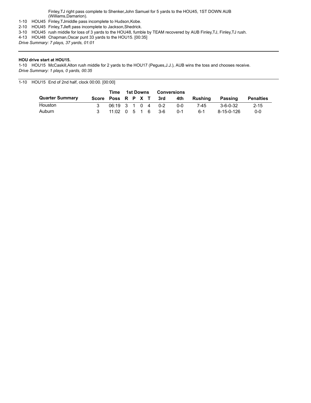Finley,TJ right pass complete to Shenker,John Samuel for 5 yards to the HOU45, 1ST DOWN AUB (Williams,Damarion).

- 1-10 HOU45 Finley,TJmiddle pass incomplete to Hudson,Kobe.
- 2-10 HOU45 Finley,TJleft pass incomplete to Jackson,Shedrick.
- 3-10 HOU45 rush middle for loss of 3 yards to the HOU48, fumble by TEAM recovered by AUB Finley,TJ, Finley,TJ rush.
- 4-13 HOU48 Chapman,Oscar punt 33 yards to the HOU15. [00:35]

*Drive Summary: 7 plays, 37 yards, 01:01*

#### **HOU drive start at HOU15.**

1-10 HOU15 McCaskill,Alton rush middle for 2 yards to the HOU17 (Pegues,J.J.), AUB wins the toss and chooses receive. *Drive Summary: 1 plays, 0 yards, 00:35*

1-10 HOU15 End of 2nd half, clock 00:00. [00:00]

|                        |                    | Time                                              | 1st Downs |  | Conversions |     |         |         |                  |                  |
|------------------------|--------------------|---------------------------------------------------|-----------|--|-------------|-----|---------|---------|------------------|------------------|
| <b>Quarter Summary</b> | Score Poss R P X T |                                                   |           |  |             | 3rd | 4th     | Rushina | Passing          | <b>Penalties</b> |
| <b>Houston</b>         |                    | 06:19 3 1 0 4 0-2                                 |           |  |             |     | 0-0     | 7-45    | $3 - 6 - 0 - 32$ | $2 - 15$         |
| Auburn                 |                    | $11:02 \quad 0 \quad 5 \quad 1 \quad 6 \quad 3-6$ |           |  |             |     | $0 - 1$ | հ-1     | 8-15-0-126       | $0 - 0$          |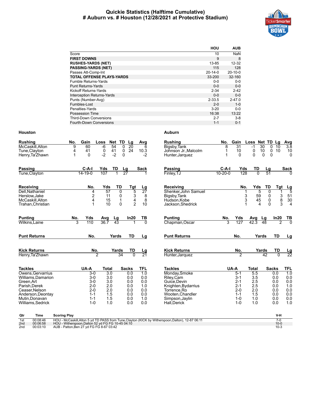#### **Quickie Statistics (Halftime Cumulative) # Auburn vs. # Houston (12/28/2021 at Protective Stadium)**



|                                   | HOU           | <b>AUB</b> |
|-----------------------------------|---------------|------------|
| Score                             | 10            | <b>NaN</b> |
| <b>FIRST DOWNS</b>                | 9             | 8          |
| <b>RUSHES-YARDS (NET)</b>         | 13-85         | $12 - 32$  |
| <b>PASSING-YARDS (NET)</b>        | 115           | 128        |
| Passes Att-Comp-Int               | $20 - 14 - 0$ | $20-10-0$  |
| <b>TOTAL OFFENSE PLAYS-YARDS</b>  | 33-200        | 32-160     |
| Fumble Returns-Yards              | $0 - 0$       | $0-0$      |
| <b>Punt Returns-Yards</b>         | $0 - 0$       | $0 - 0$    |
| Kickoff Returns-Yards             | $2 - 34$      | $2 - 42$   |
| <b>Interception Returns-Yards</b> | $0 - 0$       | $0 - 0$    |
| Punts (Number-Avg)                | $2 - 33.5$    | $2 - 47.0$ |
| Fumbles-Lost                      | $2 - 0$       | $1 - 0$    |
| Penalties-Yards                   | $3 - 20$      | $0 - 0$    |
| Possession Time                   | 16:38         | 13:22      |
| <b>Third-Down Conversions</b>     | $2 - 7$       | $3 - 8$    |
| Fourth-Down Conversions           | $1 - 1$       | $0 - 1$    |

#### **Houston Auburn**

| <b>Rushing</b>                     | No.<br>Gain           | Net TD<br>Loss   | Lg                          | Avg                    | <b>Rushing</b>                                                                                 | No.           | Gain            | Loss Net TD Lg |                      |                                              | Avg              |
|------------------------------------|-----------------------|------------------|-----------------------------|------------------------|------------------------------------------------------------------------------------------------|---------------|-----------------|----------------|----------------------|----------------------------------------------|------------------|
| McCaskill, Alton                   | 9<br>60               | $-6$<br>54       | $\overline{20}$<br>$\Omega$ | 6                      | Bigsby, Tank                                                                                   | 8             | $\overline{31}$ | $-1$           | 30<br>$\Omega$       | 10                                           | $\overline{3.8}$ |
| Tune, Clayton                      | 41<br>4               | 0<br>41          | $\mathbf 0$<br>24           | 10.3                   | Johnson Jr., Malcolm                                                                           | 1             | 10              | 0              | 10                   | 0 <sub>10</sub>                              | 10               |
| Henry, Ta'Zhawn                    | $\Omega$<br>1         | $-2$<br>$-2$     | $\Omega$                    | $-2$                   | Hunter, Jarquez                                                                                | 1             | $\Omega$        | $\Omega$       | $\Omega$<br>$\Omega$ |                                              | $\mathbf{0}$     |
| <b>Passing</b>                     | C-A-I                 | Yds<br>TD        | Lg                          | <b>Sack</b>            | <b>Passing</b>                                                                                 | $C-A-I$       | Yds             | TD             | Lg                   |                                              | <b>Sack</b>      |
| Tune, Clayton                      | 14-19-0               | 107              | 27                          |                        | Finley, TJ                                                                                     | $10 - 20 - 0$ | 128             | $\overline{0}$ | -51                  |                                              |                  |
| Receiving                          | No.                   | Yds              | TD<br>Tgt                   |                        | Receiving                                                                                      |               | No.             | Yds            | TD                   | Tgt                                          |                  |
| Dell.Nathaniel                     | 4                     | 57               | 5<br>0                      | $\frac{Lg}{27}$        | Shenker.John Samuel                                                                            |               |                 | 5<br>1         | 0                    | 1                                            | $\frac{Lg}{5}$   |
| Herslow, Jake                      | 2                     | 11               | 0<br>$\frac{3}{4}$          | 8                      | Bigsby, Tank                                                                                   |               |                 | 3<br>59        | 0                    | $\begin{array}{c}\n3 \\ 8 \\ 3\n\end{array}$ | 51               |
| McCaskill.Alton                    | $\overline{4}$        | 15               | $\mathbf{1}$                | 8                      | Hudson.Kobe                                                                                    |               |                 | 3<br>45        | 0                    |                                              | 30               |
| Trahan, Christian                  |                       | 10               | $\overline{2}$<br>$\Omega$  | 10                     | Jackson, Shedrick                                                                              |               |                 | 4              | 0                    |                                              | $\overline{4}$   |
| <b>Punting</b>                     | No.<br>Yds            | <u>Lg</u><br>Avg | In20                        | TВ                     | <b>Punting</b>                                                                                 | No.           | <u>Yds</u>      | <b>Avg</b>     | Lg                   | In20                                         |                  |
| Wilkins, Laine                     | $\overline{3}$<br>110 | 36.7<br>43       |                             | ក                      | Chapman, Oscar                                                                                 | 3             | 127             | 42.3           | 48                   | 2                                            | $\frac{TB}{0}$   |
| <b>Punt Returns</b>                | No.                   | Yards            | TD                          | Lg                     | <b>Punt Returns</b>                                                                            |               | No.             |                | Yards                | TD                                           | Lg               |
| <b>Kick Returns</b>                | No.                   | Yards            | TD                          |                        | <b>Kick Returns</b>                                                                            |               | No.             |                | Yards                | TD                                           |                  |
| Henry, Ta'Zhawn                    |                       | $\overline{2}$   | 34<br>$\overline{0}$        | $\frac{\text{Lg}}{21}$ | Hunter, Jarquez                                                                                |               | $\overline{2}$  |                | 42                   | $\overline{0}$                               | $\frac{Lg}{22}$  |
| <b>Tackles</b>                     | UA-A                  | <b>Total</b>     | <b>Sacks</b>                | <b>TFL</b>             | <b>Tackles</b>                                                                                 |               | UA-A            | <b>Total</b>   |                      | <b>Sacks</b>                                 | TFL              |
| Owens, Gervarrius                  | $3-0$                 | $\overline{3.0}$ | 0.0                         | $\overline{1.0}$       | Monday, Smoke                                                                                  |               | $5 - 1$         | 5.5            |                      | 0.0                                          | 1.0              |
| Williams, Damarion                 | $3-0$                 | 3.0              | 0.0                         | 0.0                    | Riley, Cam                                                                                     |               | $3 - 1$         | 3.5            |                      | 0.0                                          | 0.0              |
| Green, Art                         | $3-0$                 | 3.0              | 0.0                         | 0.0                    | Guice.Devin                                                                                    |               | $2 - 1$         | 2.5            |                      | 0.0                                          | 0.0              |
| Parish, Derek                      | $2 - 0$               | 2.0              | 0.0                         | 1.0                    | Knighten, Bydarrius                                                                            |               | $2 - 1$         | 2.5            |                      | 0.0                                          | 1.0              |
| Ceaser, Nelson                     | $2 - 0$               | 2.0              | 0.0                         | 0.0                    | Torrence.Ro                                                                                    |               | $2 - 0$         | 2.0            |                      | 0.0                                          | 0.0              |
| Anderson, Deontay                  | $1 - 1$               | 1.5              | 0.0                         | 0.0                    | Wooten.Chandler                                                                                |               | $1 - 1$         | 1.5            |                      | 0.0                                          | 0.0              |
| Mutin, Donavan                     | $1 - 1$               | 1.5              | 0.0                         | 1.0                    | Simpson, Jaylin                                                                                |               | $1 - 0$         | 1.0            |                      | 0.0                                          | 0.0              |
| Williams, Sedrick                  | $1 - 0$               | 1.0              | 0.0                         | 0.0                    | Hall, Derick                                                                                   |               | $1 - 0$         | 1.0            |                      | 0.0                                          | 1.0              |
| Time<br><b>Scoring Play</b><br>Qtr |                       |                  |                             |                        |                                                                                                |               |                 |                |                      | V-H                                          |                  |
| $1$ et<br>00.08.46                 |                       |                  |                             |                        | HOLL, McCaskill Alton 5 vd TD PASS from Tune Clayton (KICK by Witherspoon Dalton), 12-87 06:11 |               |                 |                |                      | $7 - 0$                                      |                  |

1st 00:08:46 HOU - McCaskill,Alton 5 yd TD PASS from Tune,Clayton (KICK by Witherspoon,Dalton), 12-87 06:11<br>2nd 00:06:58 HOU - Witherspoon,Dalton 52 yd FG 10-45 04:10<br>2nd 00:03:10 AUB - Patton,Ben 27 yd FG FG 8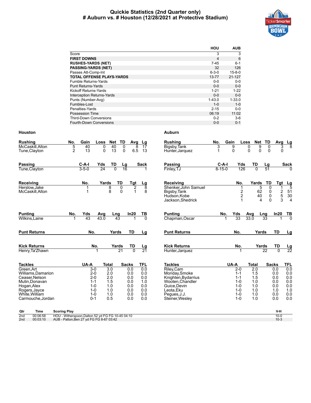#### **Quickie Statistics (2nd Quarter only) # Auburn vs. # Houston (12/28/2021 at Protective Stadium)**



|                                   | HOU            | <b>AUB</b>   |
|-----------------------------------|----------------|--------------|
| Score                             | 3              | 3            |
| <b>FIRST DOWNS</b>                | $\overline{4}$ | 6            |
| <b>RUSHES-YARDS (NET)</b>         | 7-45           | $6 - 1$      |
| <b>PASSING-YARDS (NET)</b>        | 32             | 126          |
| Passes Att-Comp-Int               | $6 - 3 - 0$    | $15 - 8 - 0$ |
| <b>TOTAL OFFENSE PLAYS-YARDS</b>  | 13-77          | $21 - 127$   |
| Fumble Returns-Yards              | $0 - 0$        | $0-0$        |
| <b>Punt Returns-Yards</b>         | $0 - 0$        | $0 - 0$      |
| Kickoff Returns-Yards             | $1 - 21$       | $1-22$       |
| <b>Interception Returns-Yards</b> | $0 - 0$        | $0 - 0$      |
| Punts (Number-Avg)                | $1 - 43.0$     | $1 - 33.0$   |
| Fumbles-Lost                      | $1 - 0$        | $1 - 0$      |
| Penalties-Yards                   | $2 - 15$       | $0 - 0$      |
| <b>Possession Time</b>            | 06:19          | 11:02        |
| <b>Third-Down Conversions</b>     | $0 - 2$        | $3-6$        |
| Fourth-Down Conversions           | $0 - 0$        | $0 - 1$      |

| <b>Rushing</b><br>McCaskill, Alton<br>Tune, Clayton                                                                                                         | No.<br>5<br>$\overline{2}$                                                                                           | Gain<br>40<br>13                                                                           | Net<br>Loss<br>0<br>40<br>13<br>$\Omega$                             | TD<br>$\mathbf 0$<br>0                  | Avg<br>8<br>6.5                                                      | Lg<br>17<br>13                                                     | <b>Rushing</b><br>Bigsby, Tank<br>Hunter, Jarquez                                                                                                       | No.<br>3<br>1           | Gain<br>9<br>$\Omega$                                                                      | Net<br><b>Loss</b><br>9<br>0<br>$\Omega$<br>$\Omega$                              | TD<br>0<br>0                                       | Avg<br>3<br>$\mathbf{0}$                                             | $\frac{\mathsf{L}\mathsf{g}}{8}$                                   |
|-------------------------------------------------------------------------------------------------------------------------------------------------------------|----------------------------------------------------------------------------------------------------------------------|--------------------------------------------------------------------------------------------|----------------------------------------------------------------------|-----------------------------------------|----------------------------------------------------------------------|--------------------------------------------------------------------|---------------------------------------------------------------------------------------------------------------------------------------------------------|-------------------------|--------------------------------------------------------------------------------------------|-----------------------------------------------------------------------------------|----------------------------------------------------|----------------------------------------------------------------------|--------------------------------------------------------------------|
| <b>Passing</b><br>Tune, Clayton                                                                                                                             |                                                                                                                      | $C-A-I$<br>$3 - 5 - 0$                                                                     | Yds<br>TD<br>$\overline{24}$                                         | Lg<br>$\overline{0}$<br>$\overline{16}$ |                                                                      | <b>Sack</b>                                                        | <b>Passing</b><br>Finley, TJ                                                                                                                            | $C-A-I$<br>$8 - 15 - 0$ | Yds<br>126                                                                                 | TD<br>$\overline{0}$                                                              | $\frac{\text{Lg}}{51}$                             |                                                                      | <b>Sack</b>                                                        |
| Receiving<br>Herslow.Jake<br>McCaskill, Alton                                                                                                               |                                                                                                                      | No.                                                                                        | Yards<br>8<br>8                                                      | TD<br>$\overline{0}$<br>$\Omega$        | Tgt<br>$\overline{2}$<br>1                                           | <u>Lg</u><br>$\overline{8}$<br>8                                   | Receiving<br>Shenker.John Samuel<br>Bigsby, Tank<br>Hudson, Kobe<br>Jackson, Shedrick                                                                   |                         | No.<br>$\frac{2}{2}$                                                                       | Yards<br>5<br>62<br>40<br>4                                                       | TD<br>$\overline{0}$<br>0<br>$\pmb{0}$<br>$\Omega$ | Tgt<br>1<br>$\frac{2}{3}$                                            | $\frac{\text{Lg}}{5}$<br>$\frac{51}{30}$<br>$\overline{4}$         |
| <b>Punting</b><br>Wilkins, Laine                                                                                                                            | No.                                                                                                                  | Yds<br>43                                                                                  | Avg<br>43.0                                                          | Lng<br>$\overline{43}$                  | In20                                                                 | TВ<br>$\overline{0}$                                               | <b>Punting</b><br>Chapman, Oscar                                                                                                                        | No.<br>1                | Yds<br>33                                                                                  | Avg<br>33.0                                                                       | Lng<br>33                                          | In20                                                                 | $\frac{TB}{0}$                                                     |
| <b>Punt Returns</b>                                                                                                                                         |                                                                                                                      | No.                                                                                        |                                                                      | Yards                                   | <b>TD</b>                                                            | Lg                                                                 | <b>Punt Returns</b>                                                                                                                                     |                         | No.                                                                                        | Yards                                                                             |                                                    | <b>TD</b>                                                            | Lg                                                                 |
| <b>Kick Returns</b><br>Henry, Ta'Zhawn                                                                                                                      |                                                                                                                      | No.<br>1                                                                                   |                                                                      | Yards<br>$\overline{21}$                | TD<br>$\overline{0}$                                                 | <u>Lg</u><br>21                                                    | <b>Kick Returns</b><br>Hunter, Jarquez                                                                                                                  |                         | No.<br>1                                                                                   |                                                                                   | Yards<br>22                                        | TD<br>$\overline{0}$                                                 | $\frac{Lg}{22}$                                                    |
| <b>Tackles</b><br>Green, Art<br>Williams.Damarion<br>Ceaser.Nelson<br>Mutin, Donavan<br>Hogan, Alex<br>Rogers, Jayce<br>White, William<br>Carmouche, Jordan |                                                                                                                      | UA-A<br>$3-0$<br>$2 - 0$<br>$2 - 0$<br>$1 - 1$<br>$1 - 0$<br>$1 - 0$<br>$1 - 0$<br>$0 - 1$ | <b>Total</b><br>3.0<br>2.0<br>2.0<br>1.5<br>1.0<br>1.0<br>1.0<br>0.5 |                                         | <b>Sacks</b><br>0.0<br>0.0<br>0.0<br>0.0<br>0.0<br>0.0<br>0.0<br>0.0 | <b>TFL</b><br>0.0<br>0.0<br>0.0<br>1.0<br>0.0<br>0.0<br>0.0<br>0.0 | <b>Tackles</b><br>Riley, Cam<br>Monday, Smoke<br>Knighten, Bydarrius<br>Wooten.Chandler<br>Guice, Devin<br>Leota.Eku<br>Pegues, J.J.<br>Steiner, Wesley |                         | UA-A<br>$2-0$<br>$1 - 1$<br>$1 - 1$<br>$1 - 0$<br>$1 - 0$<br>$1 - 0$<br>$1 - 0$<br>$1 - 0$ | <b>Total</b><br>$\overline{2.0}$<br>1.5<br>1.5<br>1.0<br>1.0<br>1.0<br>1.0<br>1.0 |                                                    | <b>Sacks</b><br>0.0<br>0.0<br>0.0<br>0.0<br>0.0<br>1.0<br>0.0<br>0.0 | <b>TFL</b><br>0.0<br>0.0<br>0.0<br>0.0<br>0.0<br>1.0<br>0.0<br>0.0 |
| Qtr<br>Time<br>2 <sub>nd</sub><br>00:06:58<br>2 <sub>nd</sub><br>00:03:10                                                                                   | <b>Scoring Play</b><br>HOU - Witherspoon, Dalton 52 yd FG FG 10-45 04:10<br>AUB - Patton, Ben 27 yd FG FG 8-67 03:42 |                                                                                            |                                                                      |                                         |                                                                      |                                                                    |                                                                                                                                                         |                         |                                                                                            |                                                                                   |                                                    | V-H<br>$10 - 0$<br>$10-3$                                            |                                                                    |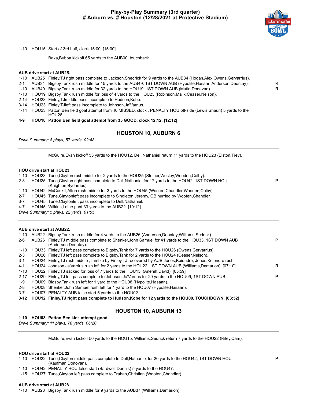#### **Play-by-Play Summary (3rd quarter) # Auburn vs. # Houston (12/28/2021 at Protective Stadium)**



P

P

1-10 HOU15 Start of 3rd half, clock 15:00. [15:00]

Baxa,Bubba kickoff 65 yards to the AUB00, touchback.

#### **AUB drive start at AUB25.**

|  |  |  |  |  |  | 1-10 AUB25 Finley, TJ right pass complete to Jackson, Shedrick for 9 yards to the AUB34 (Hogan, Alex; Owens, Gervarrius). |  |
|--|--|--|--|--|--|---------------------------------------------------------------------------------------------------------------------------|--|
|--|--|--|--|--|--|---------------------------------------------------------------------------------------------------------------------------|--|

- 2-1 AUB34 Bigsby,Tank rush middle for 15 yards to the AUB49, 1ST DOWN AUB (Hypolite,Hasaan;Anderson,Deontay). R
- 1-10 AUB49 Bigsby,Tank rush middle for 32 yards to the HOU19, 1ST DOWN AUB (Mutin,Donavan). R
- 1-10 HOU19 Bigsby,Tank rush middle for loss of 4 yards to the HOU23 (Robinson,Malik;Ceaser,Nelson).
- 2-14 HOU23 Finley,TJmiddle pass incomplete to Hudson,Kobe.
- 3-14 HOU23 Finley,TJleft pass incomplete to Johnson,Ja'Varrius.
- 4-14 HOU23 Patton,Ben field goal attempt from 40 MISSED, clock , PENALTY HOU off-side (Lewis,Shaun) 5 yards to the HOU28.
- **4-9 HOU18 Patton,Ben field goal attempt from 35 GOOD, clock 12:12. [12:12]**

#### **HOUSTON 10, AUBURN 6**

*Drive Summary: 8 plays, 57 yards, 02:48*

McGuire,Evan kickoff 53 yards to the HOU12, Dell,Nathaniel return 11 yards to the HOU23 (Elston,Trey).

#### **HOU drive start at HOU23.**

- 1-10 HOU23 Tune,Clayton rush middle for 2 yards to the HOU25 (Steiner,Wesley;Wooden,Colby).
- 2-8 HOU25 Tune,Clayton right pass complete to Dell,Nathaniel for 17 yards to the HOU42, 1ST DOWN HOU (Knighten,Bydarrius).
- 1-10 HOU42 McCaskill,Alton rush middle for 3 yards to the HOU45 (Wooten,Chandler;Wooden,Colby).
- 2-7 HOU45 Tune,Claytonleft pass incomplete to Singleton,Jeremy, QB hurried by Wooten,Chandler.
- 3-7 HOU45 Tune,Claytonleft pass incomplete to Dell,Nathaniel.
- 4-7 HOU45 Wilkins,Laine punt 33 yards to the AUB22. [10:12]

*Drive Summary: 5 plays, 22 yards, 01:55*

#### **AUB drive start at AUB22.**

| 1-10    | AUB22 | Bigsby, Tank rush middle for 4 yards to the AUB26 (Anderson, Deontay; Williams, Sedrick).                                     |   |
|---------|-------|-------------------------------------------------------------------------------------------------------------------------------|---|
| $2-6$   |       | AUB26 Finley, TJ middle pass complete to Shenker, John Samuel for 41 yards to the HOU33, 1ST DOWN AUB<br>(Anderson, Deontay). | P |
| 1-10    |       | HOU33 Finley, TJ left pass complete to Bigsby, Tank for 7 yards to the HOU26 (Owens, Gervarrius).                             |   |
| $2 - 3$ |       | HOU26 Finley, TJ left pass complete to Bigsby, Tank for 2 yards to the HOU24 (Ceaser, Nelson).                                |   |
| 3-1     |       | HOU24 Finley, TJ rush middle, fumble by Finley, TJ recovered by AUB Jones, Keiondre, Jones, Keiondre rush.                    |   |
| 4-1     |       | HOU24 Johnson, Ja'Varrius rush left for 2 yards to the HOU22, 1ST DOWN AUB (Williams, Damarion). [07:10]                      | R |
| 1-10    |       | HOU22 Finley, TJ sacked for loss of 7 yards to the HOU15, (Anenih, David). [05:59]                                            |   |
|         |       | 2-17 HOU29 Finley TJ left pass complete to Johnson Ja'Varrius for 20 yards to the HOU09, 1ST DOWN AUB.                        | P |
| 1-9     |       | HOU09 Bigsby, Tank rush left for 1 yard to the HOU08 (Hypolite, Hasaan).                                                      |   |
| 2-8     |       | HOU08 Shenker, John Samuel rush left for 1 yard to the HOU07 (Hypolite, Hasaan).                                              |   |
| $3 - 7$ |       | HOU07 PENALTY AUB false start 5 yards to the HOU02.                                                                           |   |

**3-12 HOU12 Finley,TJ right pass complete to Hudson,Kobe for 12 yards to the HOU00, TOUCHDOWN. [03:52]**

#### **HOUSTON 10, AUBURN 13**

#### **1-10 HOU03 Patton,Ben kick attempt good.**

*Drive Summary: 11 plays, 78 yards, 06:20*

McGuire,Evan kickoff 50 yards to the HOU15, Williams,Sedrick return 7 yards to the HOU22 (Riley,Cam).

#### **HOU drive start at HOU22.**

1-10 HOU22 Tune,Clayton middle pass complete to Dell,Nathaniel for 20 yards to the HOU42, 1ST DOWN HOU (Kaufman,Donovan).

- 1-10 HOU42 PENALTY HOU false start (Bardwell,Dennis) 5 yards to the HOU47.
- 1-15 HOU37 Tune,Clayton left pass complete to Trahan,Christian (Wooten,Chandler).

#### **AUB drive start at AUB28.**

1-10 AUB28 Bigsby,Tank rush middle for 9 yards to the AUB37 (Williams,Damarion).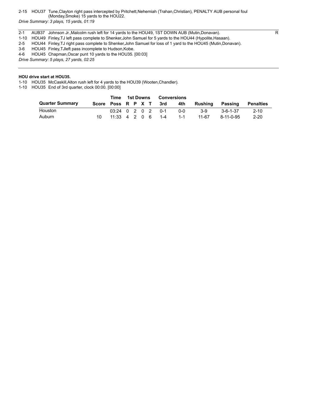#### 2-15 HOU37 Tune,Clayton right pass intercepted by Pritchett,Nehemiah (Trahan,Christian), PENALTY AUB personal foul (Monday,Smoke) 15 yards to the HOU22.

*Drive Summary: 3 plays, 15 yards, 01:19*

- 2-1 AUB37 Johnson Jr., Malcolm rush left for 14 yards to the HOU49, 1ST DOWN AUB (Mutin, Donavan).
- 1-10 HOU49 Finley,TJ left pass complete to Shenker,John Samuel for 5 yards to the HOU44 (Hypolite,Hasaan).
- 2-5 HOU44 Finley,TJ right pass complete to Shenker,John Samuel for loss of 1 yard to the HOU45 (Mutin,Donavan).
- 3-6 HOU45 Finley,TJleft pass incomplete to Hudson,Kobe.
- 4-6 HOU45 Chapman,Oscar punt 10 yards to the HOU35. [00:03]
- *Drive Summary: 5 plays, 27 yards, 02:25*

#### **HOU drive start at HOU35.**

1-10 HOU35 McCaskill,Alton rush left for 4 yards to the HOU39 (Wooten,Chandler).

1-10 HOU35 End of 3rd quarter, clock 00:00. [00:00]

|                        |                        | Time                 | 1st Downs |  | <b>Conversions</b> |  |         |         |                   |                  |
|------------------------|------------------------|----------------------|-----------|--|--------------------|--|---------|---------|-------------------|------------------|
| <b>Quarter Summary</b> | Score Poss R P X T 3rd |                      |           |  |                    |  | 4th     | Rushing | Passing           | <b>Penalties</b> |
| Houston                |                        | $03:24$ 0 2 0 2 0 -1 |           |  |                    |  | $0 - 0$ | $3-9$   | $3 - 6 - 1 - 37$  | $2 - 10$         |
| Auburn                 |                        | $11:33$ 4 2 0 6 1-4  |           |  |                    |  | -1-1    | 11-67   | $8 - 11 - 0 - 95$ | $2 - 20$         |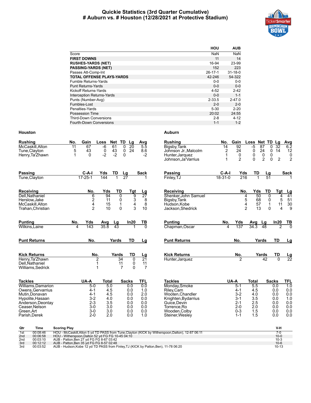#### **Quickie Statistics (3rd Quarter Cumulative) # Auburn vs. # Houston (12/28/2021 at Protective Stadium)**



|                                  | HOU           | <b>AUB</b>    |
|----------------------------------|---------------|---------------|
| Score                            | NaN           | NaN           |
| <b>FIRST DOWNS</b>               | 11            | 14            |
| <b>RUSHES-YARDS (NET)</b>        | 16-94         | 23-99         |
| <b>PASSING-YARDS (NET)</b>       | 152           | 223           |
| Passes Att-Comp-Int              | $26 - 17 - 1$ | $31 - 18 - 0$ |
| <b>TOTAL OFFENSE PLAYS-YARDS</b> | 42-246        | 54-322        |
| <b>Fumble Returns-Yards</b>      | $0 - 0$       | $0 - 0$       |
| <b>Punt Returns-Yards</b>        | $0 - 0$       | $0 - 0$       |
| Kickoff Returns-Yards            | $4 - 52$      | $2 - 42$      |
| Interception Returns-Yards       | $0 - 0$       | $1 - 1$       |
| Punts (Number-Avg)               | $2 - 33.5$    | $2 - 47.0$    |
| Fumbles-Lost                     | $2 - 0$       | $2 - 0$       |
| Penalties-Yards                  | $5-30$        | $2 - 20$      |
| <b>Possession Time</b>           | 20:02         | 24:55         |
| <b>Third-Down Conversions</b>    | $2 - 8$       | $4 - 12$      |
| Fourth-Down Conversions          | $1 - 1$       | $1 - 2$       |

| <b>Rushing</b><br>McCaskill.Alton<br>Tune, Clayton<br>Henry, Ta'Zhawn                                                                                             | Gain<br>No.<br>Net TD<br>Loss<br>Lg<br>Avg<br>$\overline{11}$<br>67<br>61<br>$\overline{20}$<br>$\overline{5.5}$<br>-6<br>0<br>43<br>43<br>24<br>5<br>0<br>0<br>8.6<br>$-2$<br>$-2$<br>$\mathbf{1}$<br>0<br>$\mathbf{0}$<br>$-2$                                                                    | <b>Rushing</b><br>Bigsby, Tank<br>Johnson Jr. Malcolm<br>Hunter, Jarquez<br>Johnson, Ja Varrius                                                            | Gain<br>No.<br>$\overline{92}$<br>14<br>2<br>24<br>0<br>$\overline{2}$                     | Loss Net TD Lg<br>$\overline{87}$<br>$-5$<br>24<br>0<br>$\mathbf 0$<br>0<br>0<br>$\overline{2}$<br>$\Omega$ | Avg<br>$\overline{32}$<br>6.2<br>$\mathbf 0$<br>$\mathbf 0$<br>12<br>14<br>0<br>$\overline{2}$<br>$\overline{2}$<br>0                            |
|-------------------------------------------------------------------------------------------------------------------------------------------------------------------|-----------------------------------------------------------------------------------------------------------------------------------------------------------------------------------------------------------------------------------------------------------------------------------------------------|------------------------------------------------------------------------------------------------------------------------------------------------------------|--------------------------------------------------------------------------------------------|-------------------------------------------------------------------------------------------------------------|--------------------------------------------------------------------------------------------------------------------------------------------------|
| Passing<br>Tune, Clayton                                                                                                                                          | $C-A-I$<br>TD<br>Yds<br>$\frac{Lg}{27}$<br>Sack<br>$17 - 25 - 1$<br>144                                                                                                                                                                                                                             | Passing<br>Finley, TJ                                                                                                                                      | $C-A-I$<br>Yds<br>$18 - 31 - 0$<br>216                                                     | TD<br>Lg<br>51                                                                                              | <b>Sack</b>                                                                                                                                      |
| Receiving<br>Dell.Nathaniel<br>Herslow, Jake<br>McCaskill, Alton<br>Trahan, Christian                                                                             | Yds<br>TD<br>No.<br>Tgt<br>Lg<br>94<br>$\overline{0}$<br>$\overline{9}$<br>$\overline{27}$<br>6<br>$\frac{3}{3}$<br>2<br>11<br>8<br>0<br>4<br>$\mathbf{1}$<br>8<br>15<br>$\mathfrak{p}$<br>$\Omega$<br>10<br>10                                                                                     | Receiving<br>Shenker.John Samuel<br>Bigsby, Tank<br>Hudson.Kobe<br>Jackson, Shedrick                                                                       | No.<br>4<br>5<br>$\overline{\mathbf{4}}$<br>$\overline{2}$                                 | Yds<br>TD<br>50<br>$\overline{0}$<br>68<br>0<br>$\mathbf{1}$<br>57<br>13<br>$\Omega$                        | Tgt<br>Lg<br>$\overline{41}$<br>$\overline{4}$<br>5<br>51<br>11<br>30<br>4<br>9                                                                  |
| <b>Punting</b><br>Wilkins, Laine                                                                                                                                  | No.<br>In20<br>Yds<br>TВ<br>Avg<br>Lg<br>143<br>35.8<br>43<br>$\Omega$<br>$\overline{\mathbf{4}}$                                                                                                                                                                                                   | <b>Punting</b><br>Chapman, Oscar                                                                                                                           | No.<br>Yds<br>137<br>4                                                                     | Avg<br>Lg<br>$34.\overline{3}$<br>48                                                                        | In20<br>TВ<br>ក<br>2                                                                                                                             |
| <b>Punt Returns</b>                                                                                                                                               | No.<br>TD<br>Yards<br>Lg                                                                                                                                                                                                                                                                            | <b>Punt Returns</b>                                                                                                                                        | No.                                                                                        | Yards                                                                                                       | <b>TD</b><br><u>Lg</u>                                                                                                                           |
| <b>Kick Returns</b><br>Henry, Ta'Zhawn<br>Dell, Nathaniel<br>Williams, Sedrick                                                                                    | No.<br>TD<br>Yards<br><u>Lg</u><br>$\overline{2}$<br>34<br>$\overline{21}$<br>$\Omega$<br>11<br>0<br>11<br>1<br>1<br>$\overline{7}$<br>$\Omega$<br>$\overline{7}$                                                                                                                                   | <b>Kick Returns</b><br>Hunter, Jarquez                                                                                                                     | No.<br>ヮ                                                                                   | Yards<br>42                                                                                                 | TD<br>$\frac{\text{Lg}}{22}$<br>$\overline{0}$                                                                                                   |
| <b>Tackles</b><br>Williams Damarion<br>Owens.Gervarrius<br>Mutin.Donavan<br>Hypolite, Hasaan<br>Anderson, Deontay<br>Ceaser.Nelson<br>Green, Art<br>Parish, Derek | UA-A<br><b>TFL</b><br>Total<br><b>Sacks</b><br>5.0<br>0.0<br>$5-0$<br>0.0<br>4.5<br>$4 - 1$<br>0.0<br>1.0<br>4.5<br>2.0<br>$4 - 1$<br>0.0<br>$3-2$<br>4.0<br>0.0<br>0.0<br>$2 - 3$<br>0.0<br>3.5<br>0.0<br>$3-0$<br>3.0<br>0.0<br>0.0<br>$3-0$<br>3.0<br>0.0<br>0.0<br>$2 - 0$<br>2.0<br>1.0<br>0.0 | <b>Tackles</b><br>Monday, Smoke<br>Riley, Cam<br>Wooten.Chandler<br>Knighten, Bydarrius<br>Guice, Devin<br>Torrence.Ro<br>Wooden, Colby<br>Steiner, Wesley | UA-A<br>$5-1$<br>$4 - 1$<br>$3 - 2$<br>$3 - 1$<br>$2 - 1$<br>$2 - 0$<br>$0 - 3$<br>$1 - 1$ | Total<br>5.5<br>4.5<br>4.0<br>3.5<br>2.5<br>2.0<br>1.5<br>1.5                                               | <b>Sacks</b><br>TFL<br>$\overline{1.0}$<br>0.0<br>0.0<br>0.0<br>0.0<br>0.0<br>1.0<br>0.0<br>0.0<br>0.0<br>0.0<br>0.0<br>0.0<br>0.0<br>0.0<br>0.0 |

| Qtr | Time     | <b>Scoring Play</b>                                                                               | V-H      |
|-----|----------|---------------------------------------------------------------------------------------------------|----------|
| 1st | 00:08:46 | HOU - McCaskill, Alton 5 yd TD PASS from Tune, Clayton (KICK by Witherspoon, Dalton), 12-87 06:11 |          |
| 2nd | 00:06:58 | HOU - Witherspoon.Dalton 52 vd FG FG 10-45 04:10                                                  | $10 - 0$ |
| 2nd | 00:03:10 | AUB - Patton.Ben 27 vd FG FG 8-67 03:42                                                           | $10-3$   |
| 3rd | 00:12:12 | AUB - Patton Ben 35 vd FG FG 8-57 02:48                                                           | $10 - 6$ |
| 3rd | 00:03:52 | AUB - Hudson, Kobe 12 yd TD PASS from Finley, TJ (KICK by Patton, Ben), 11-78 06:20               | $10-13$  |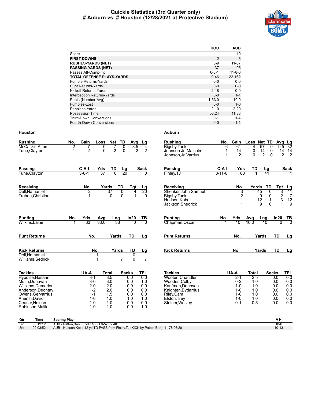#### **Quickie Statistics (3rd Quarter only) # Auburn vs. # Houston (12/28/2021 at Protective Stadium)**



|                                   | HOU            | <b>AUB</b>   |
|-----------------------------------|----------------|--------------|
| Score                             |                | 10           |
| <b>FIRST DOWNS</b>                | $\overline{2}$ | 6            |
| <b>RUSHES-YARDS (NET)</b>         | $3-9$          | $11 - 67$    |
| <b>PASSING-YARDS (NET)</b>        | 37             | 95           |
| Passes Att-Comp-Int               | $6 - 3 - 1$    | $11 - 8 - 0$ |
| <b>TOTAL OFFENSE PLAYS-YARDS</b>  | $9 - 46$       | 22-162       |
| Fumble Returns-Yards              | $0 - 0$        | $0 - 0$      |
| <b>Punt Returns-Yards</b>         | $0 - 0$        | $0 - 0$      |
| Kickoff Returns-Yards             | $2 - 18$       | $0 - 0$      |
| <b>Interception Returns-Yards</b> | $0 - 0$        | $1 - 1$      |
| Punts (Number-Avg)                | $1 - 33.0$     | $1 - 10.0$   |
| Fumbles-Lost                      | $0 - 0$        | $1 - 0$      |
| Penalties-Yards                   | $2 - 10$       | $2 - 20$     |
| <b>Possession Time</b>            | 03:24          | 11:33        |
| <b>Third-Down Conversions</b>     | $0 - 1$        | $1 - 4$      |
| <b>Fourth-Down Conversions</b>    | $0 - 0$        | $1 - 1$      |

| Gain<br>TD<br>No.<br>Net<br>Loss<br>Avg                                                                                                                                                                                                    | <b>Rushing</b>                                                                                                                                 | Gain                                                                                                                                                                                                                                                      | Net TD<br>Loss                                                                 | $\begin{array}{r}\n\text{Avg} \text{Lg} \\ \hline\n9.5 \quad 32\n\end{array}$                                            |
|--------------------------------------------------------------------------------------------------------------------------------------------------------------------------------------------------------------------------------------------|------------------------------------------------------------------------------------------------------------------------------------------------|-----------------------------------------------------------------------------------------------------------------------------------------------------------------------------------------------------------------------------------------------------------|--------------------------------------------------------------------------------|--------------------------------------------------------------------------------------------------------------------------|
| 2<br>7<br>0<br>$\overline{2}$<br>$\overline{2}$<br>0<br>$\mathbf 0$<br>$\overline{2}$<br>1                                                                                                                                                 | Johnson Jr. Malcolm<br>Johnson, Ja'Varrius                                                                                                     | 14<br>1<br>$\overline{2}$<br>1                                                                                                                                                                                                                            | 0<br>$-4$<br>0<br>14<br>0<br>$\overline{2}$<br>$\Omega$<br>$\Omega$            | 14<br>14<br>$\overline{2}$<br>$\overline{2}$                                                                             |
| $C-A-I$<br>TD<br>Yds<br><u>Lg</u><br>$3 - 6 - 1$<br>$\overline{0}$<br>37<br>20                                                                                                                                                             | Passing<br>Finley, TJ                                                                                                                          |                                                                                                                                                                                                                                                           | TD<br>Lg<br>41                                                                 | <b>Sack</b>                                                                                                              |
| No.<br>Yards<br>TD<br>Tat<br>2<br>37<br>0<br>4<br>$\Omega$<br>$\Omega$<br>1                                                                                                                                                                | <b>Receiving</b><br>Shenker, John Samuel<br>Bigsby, Tank<br>Hudson, Kobe<br>Jackson, Shedrick                                                  | No.<br>3<br>$\overline{\mathbf{c}}$                                                                                                                                                                                                                       | TD<br>Yards<br>45<br>0<br>9<br>0<br>$\frac{12}{9}$<br>$\mathbf{1}$<br>$\Omega$ | Tgt<br>$\frac{Lg}{41}$<br>3<br>$\frac{2}{3}$<br>$\overline{7}$<br>$\begin{array}{c} 12 \\ 9 \end{array}$<br>$\mathbf{1}$ |
| No.<br>Yds<br>In20<br>Avg<br>Lng<br>$\overline{33}$<br>33.0<br>$\overline{33}$<br>$\Omega$<br>1                                                                                                                                            | <b>Punting</b><br>Chapman, Oscar                                                                                                               | Yds<br>10<br>1                                                                                                                                                                                                                                            | Avg<br>Lng<br>10.0<br>10                                                       | In20<br>$rac{TB}{0}$<br>$\Omega$                                                                                         |
| No.<br>TD<br>Yards                                                                                                                                                                                                                         | <b>Punt Returns</b>                                                                                                                            | No.                                                                                                                                                                                                                                                       | Yards                                                                          | <b>TD</b><br>Lg                                                                                                          |
| No.<br>Yards<br>TD<br>11<br>0<br>$\overline{7}$<br>$\Omega$<br>1                                                                                                                                                                           | <b>Kick Returns</b>                                                                                                                            | No.                                                                                                                                                                                                                                                       | Yards                                                                          | <b>TD</b><br>Lg                                                                                                          |
| UA-A<br><b>Total</b><br><b>Sacks</b><br>3.5<br>$3 - 1$<br>0.0<br>$3-0$<br>3.0<br>0.0<br>$2 - 0$<br>2.0<br>0.0<br>$1 - 2$<br>2.0<br>0.0<br>1.5<br>$1 - 1$<br>0.0<br>1.0<br>$1 - 0$<br>1.0<br>$1 - 0$<br>1.0<br>0.0<br>1.0<br>$1 - 0$<br>0.0 | <b>Tackles</b><br>Wooten, Chandler<br>Wooden, Colby<br>Kaufman, Donovan<br>Knighten, Bydarrius<br>Riley, Cam<br>Elston.Trev<br>Steiner, Wesley | UA-A<br>$2-1$<br>$0 - 2$<br>$1 - 0$<br>$1 - 0$<br>$1 - 0$<br>$1 - 0$<br>$0 - 1$                                                                                                                                                                           | <b>Total</b><br>2.5<br>1.0<br>1.0<br>1.0<br>1.0<br>1.0<br>0.5                  | <b>Sacks</b><br>TFL<br>0.0<br>0.0<br>0.0<br>0.0<br>0.0<br>0.0<br>0.0<br>0.0<br>0.0<br>0.0<br>0.0<br>0.0<br>0.0<br>0.0    |
|                                                                                                                                                                                                                                            | $3.\overline{5}$<br>0                                                                                                                          | Lg<br>Bigsby, Tank<br>4<br>2<br><b>Sack</b><br>U<br><u>Lg</u><br>$\overline{20}$<br>$\Omega$<br><u>TB</u><br>$\overline{0}$<br>Lg<br><u>Lg</u><br>$\overline{11}$<br>$\overline{7}$<br><b>TFL</b><br>0.0<br>1.0<br>0.0<br>0.0<br>0.0<br>1.0<br>0.0<br>1.0 | No.<br>6<br>61<br>C-A-I<br>$8 - 11 - 0$<br>No.                                 | 57<br>Yds<br>88                                                                                                          |

| Rushing              | No.          | Gain                                       | Loss  | Net TD         |             | Avg           | ∟g             |
|----------------------|--------------|--------------------------------------------|-------|----------------|-------------|---------------|----------------|
| Bigsby, Tank         | 6            | 61                                         | -4    | 57             | 0           | 9.5           | 32             |
| Johnson Jr.,Malcolm  | 1            | 14                                         | 0     | 14             | 0           | 14            | 14             |
| Johnson,Ja'Varrius   | 1            | 2                                          | 0     | $\overline{2}$ | 0           | 2             | $\overline{2}$ |
| Passing              | C-A-I        | Yds                                        | TD    |                | Lg          |               | Sack           |
| Finley, TJ           | $8 - 11 - 0$ | 88                                         | 1     |                | 41          |               | 1              |
| Receiving            |              | No.                                        | Yards |                | TD          | <b>Tgt</b>    | Lg             |
| Shenker, John Samuel |              |                                            |       | 45             | 0           |               | 41             |
| Bigsby, Tank         |              | $\begin{array}{c} 3 \\ 2 \\ 1 \end{array}$ |       | 9              | 0           | $\frac{3}{2}$ | 7              |
| Hudson,Kobe          |              |                                            |       | 12             | $\mathbf 1$ |               | 12             |
| Jackson, Shedrick    |              | 1                                          |       | 9              | $\Omega$    |               | 9              |
| Punting              | No.          | Yds                                        | Avg   | Lng            |             | In20          | TВ             |
| Chapman, Oscar       | 1            | 10                                         | 10.0  | 10             |             | $\Omega$      | $\Omega$       |
| Punt Returns         |              | No.                                        |       | Yards          |             | TD            | Lg             |
|                      |              |                                            |       |                |             |               |                |
| Kick Returns         |              | No.                                        |       | Yards          |             | TD            | Lg             |

| <b>Tackles</b>      | UA-A    | Total | <b>Sacks</b> | TFL |
|---------------------|---------|-------|--------------|-----|
| Wooten, Chandler    | $2 - 1$ | 2.5   | 0.0          | 0.0 |
| Wooden, Colby       | $0 - 2$ | 1.0   | 0.0          | 0.0 |
| Kaufman, Donovan    | $1 - 0$ | 1.0   | 0.0          | 0.0 |
| Knighten, Bydarrius | $1 - 0$ | 1.0   | 0.0          | 0.0 |
| Riley, Cam          | $1 - 0$ | 1.0   | 0.0          | 0.0 |
| Elston, Trey        | $1 - 0$ | 1.0   | 0.0          | 0.0 |
| Steiner, Wesley     | $0 - 1$ | 0.5   | 0.0          | 0.0 |

| Qtr | Time     | <b>Scoring Play</b>                                                                 |           |
|-----|----------|-------------------------------------------------------------------------------------|-----------|
| 3rd | 00:12:12 | AUB - Patton.Ben 35 vd FG FG 8-57 02:48                                             |           |
| 3rd | 00:03:52 | AUB - Hudson, Kobe 12 yd TD PASS from Finley, TJ (KICK by Patton, Ben), 11-78 06:20 | $10 - 13$ |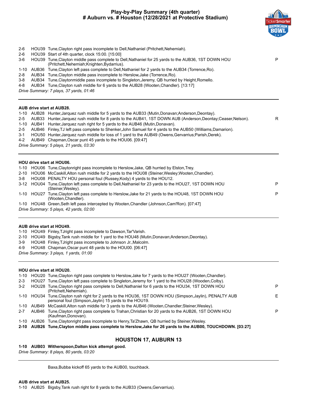#### **Play-by-Play Summary (4th quarter) # Auburn vs. # Houston (12/28/2021 at Protective Stadium)**



| HOU39 Tune, Clayton middle pass complete to Dell, Nathaniel for 25 yards to the AUB36, 1ST DOWN HOU<br>P           |
|--------------------------------------------------------------------------------------------------------------------|
|                                                                                                                    |
|                                                                                                                    |
|                                                                                                                    |
|                                                                                                                    |
|                                                                                                                    |
|                                                                                                                    |
|                                                                                                                    |
|                                                                                                                    |
|                                                                                                                    |
|                                                                                                                    |
| AUB33 Hunter, Jarquez rush middle for 8 yards to the AUB41, 1ST DOWN AUB (Anderson, Deontay; Ceaser, Nelson).<br>R |
|                                                                                                                    |
| AUB46 Finley, TJ left pass complete to Shenker, John Samuel for 4 yards to the AUB50 (Williams, Damarion).         |
|                                                                                                                    |
|                                                                                                                    |
|                                                                                                                    |
|                                                                                                                    |
|                                                                                                                    |
|                                                                                                                    |
|                                                                                                                    |
| 3-12 HOU04 Tune, Clayton left pass complete to Dell, Nathaniel for 23 yards to the HOU27, 1ST DOWN HOU<br>P        |
|                                                                                                                    |
| P<br>1-10 HOU27 Tune, Clayton left pass complete to Herslow, Jake for 21 yards to the HOU48, 1ST DOWN HOU          |
|                                                                                                                    |
|                                                                                                                    |
|                                                                                                                    |
|                                                                                                                    |
|                                                                                                                    |
|                                                                                                                    |
|                                                                                                                    |

4-9 HOU48 Chapman,Oscar punt 48 yards to the HOU00. [06:47]

*Drive Summary: 3 plays, 1 yards, 01:00*

#### **HOU drive start at HOU20.**

|         |            | 1-10 HOU20 Tune, Clayton right pass complete to Herslow, Jake for 7 yards to the HOU27 (Wooten, Chandler).                                                          |    |
|---------|------------|---------------------------------------------------------------------------------------------------------------------------------------------------------------------|----|
| $2 - 3$ |            | HOU27 Tune, Clayton left pass complete to Singleton, Jeremy for 1 yard to the HOU28 (Wooden, Colby).                                                                |    |
| $3 - 2$ |            | HOU28 Tune, Clayton right pass complete to Dell, Nathaniel for 6 yards to the HOU34, 1ST DOWN HOU<br>(Pritchett, Nehemiah).                                         | P  |
|         |            | 1-10 HOU34 Tune, Clayton rush right for 2 yards to the HOU36, 1ST DOWN HOU (Simpson, Jaylin), PENALTY AUB<br>personal foul (Simpson, Jaylin) 15 yards to the HOU19. | F. |
|         | 1-10 AUB49 | McCaskill, Alton rush middle for 3 yards to the AUB46 (Wooten, Chandler; Steiner, Wesley).                                                                          |    |
| $2 - 7$ |            | AUB46 Tune, Clayton right pass complete to Trahan, Christian for 20 yards to the AUB26, 1ST DOWN HOU<br>(Kaufman.Donovan).                                          | P  |
|         |            | 1-10 AUB26 Tune, Claytonright pass incomplete to Henry, Ta'Zhawn, QB hurried by Steiner, Wesley.                                                                    |    |

**2-10 AUB26 Tune,Clayton middle pass complete to Herslow,Jake for 26 yards to the AUB00, TOUCHDOWN. [03:27]**

#### **HOUSTON 17, AUBURN 13**

#### **1-10 AUB03 Witherspoon,Dalton kick attempt good.**

*Drive Summary: 8 plays, 80 yards, 03:20*

Baxa,Bubba kickoff 65 yards to the AUB00, touchback.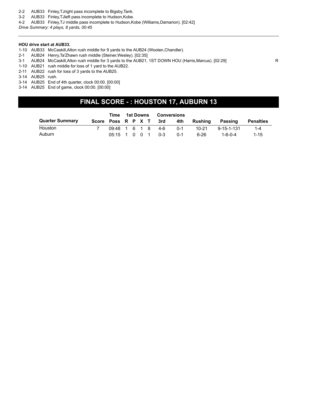- 2-2 AUB33 Finley,TJright pass incomplete to Bigsby,Tank.
- 3-2 AUB33 Finley,TJleft pass incomplete to Hudson,Kobe.
- 4-2 AUB33 Finley,TJ middle pass incomplete to Hudson,Kobe (Williams,Damarion). [02:42]

*Drive Summary: 4 plays, 8 yards, 00:45*

#### **HOU drive start at AUB33.**

- 1-10 AUB33 McCaskill,Alton rush middle for 9 yards to the AUB24 (Wooten,Chandler).
- 2-1 AUB24 Henry,Ta'Zhawn rush middle (Steiner,Wesley). [02:35]
- 3-1 AUB24 McCaskill,Alton rush middle for 3 yards to the AUB21, 1ST DOWN HOU (Harris,Marcus). [02:29] R
- 1-10 AUB21 rush middle for loss of 1 yard to the AUB22.
- 2-11 AUB22 rush for loss of 3 yards to the AUB25.
- 3-14 AUB25 rush.
- 3-14 AUB25 End of 4th quarter, clock 00:00. [00:00]
- 3-14 AUB25 End of game, clock 00:00. [00:00]

### **FINAL SCORE - : HOUSTON 17, AUBURN 13**

|                        | Time             | 1st Downs |  | Conversions |                        |         |         |                    |                  |
|------------------------|------------------|-----------|--|-------------|------------------------|---------|---------|--------------------|------------------|
| <b>Quarter Summary</b> |                  |           |  |             | Score Poss R P X T 3rd | 4th     | Rushina | Passing            | <b>Penalties</b> |
| Houston                |                  |           |  |             | 09:48 1 6 1 8 4-6      | በ-1     | 10-21   | $9 - 15 - 1 - 131$ | $1 - 4$          |
| Auburn                 | $0.5:15$ 1 0 0 1 |           |  |             | 0-3                    | $0 - 1$ | 6-26    | 1-6-0-4            | $1 - 15$         |